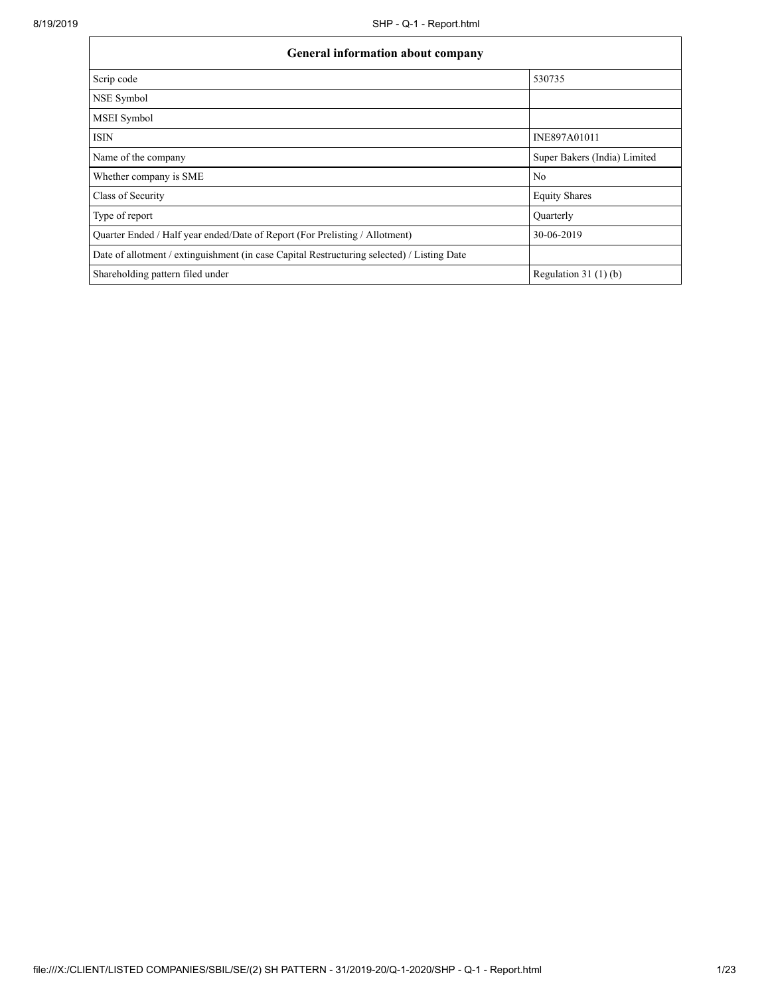| General information about company                                                          |                              |  |  |  |  |
|--------------------------------------------------------------------------------------------|------------------------------|--|--|--|--|
| Scrip code                                                                                 | 530735                       |  |  |  |  |
| NSE Symbol                                                                                 |                              |  |  |  |  |
| MSEI Symbol                                                                                |                              |  |  |  |  |
| <b>ISIN</b>                                                                                | INE897A01011                 |  |  |  |  |
| Name of the company                                                                        | Super Bakers (India) Limited |  |  |  |  |
| Whether company is SME                                                                     | No                           |  |  |  |  |
| Class of Security                                                                          | <b>Equity Shares</b>         |  |  |  |  |
| Type of report                                                                             | Quarterly                    |  |  |  |  |
| Quarter Ended / Half year ended/Date of Report (For Prelisting / Allotment)                | 30-06-2019                   |  |  |  |  |
| Date of allotment / extinguishment (in case Capital Restructuring selected) / Listing Date |                              |  |  |  |  |
| Shareholding pattern filed under                                                           | Regulation $31(1)(b)$        |  |  |  |  |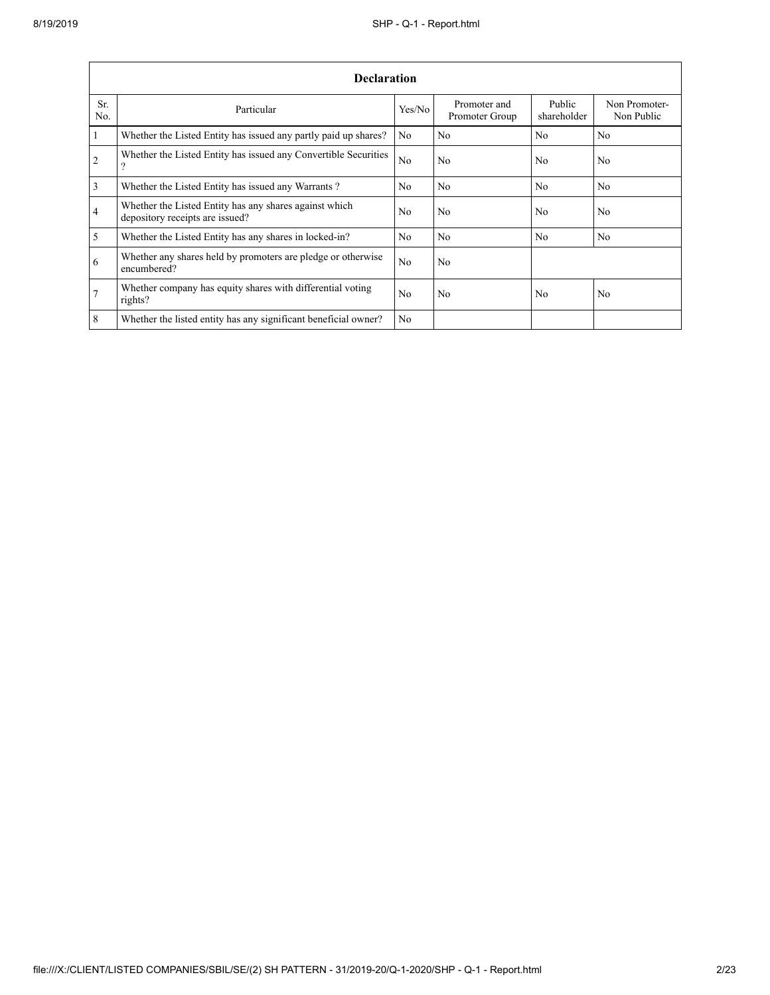|                 | <b>Declaration</b>                                                                        |                |                                |                       |                             |  |  |  |  |
|-----------------|-------------------------------------------------------------------------------------------|----------------|--------------------------------|-----------------------|-----------------------------|--|--|--|--|
| Sr.<br>No.      | Particular                                                                                | Yes/No         | Promoter and<br>Promoter Group | Public<br>shareholder | Non Promoter-<br>Non Public |  |  |  |  |
| $\overline{1}$  | Whether the Listed Entity has issued any partly paid up shares?                           | No             | No                             | N <sub>o</sub>        | No                          |  |  |  |  |
| $\overline{2}$  | Whether the Listed Entity has issued any Convertible Securities<br>$\Omega$               | No             | No                             | No                    | N <sub>0</sub>              |  |  |  |  |
| $\overline{3}$  | Whether the Listed Entity has issued any Warrants?                                        | No             | No                             | N <sub>o</sub>        | N <sub>o</sub>              |  |  |  |  |
| $\overline{4}$  | Whether the Listed Entity has any shares against which<br>depository receipts are issued? | No             | No                             | N <sub>0</sub>        | No                          |  |  |  |  |
| $\overline{5}$  | Whether the Listed Entity has any shares in locked-in?                                    | No             | No                             | No                    | N <sub>o</sub>              |  |  |  |  |
| 6               | Whether any shares held by promoters are pledge or otherwise<br>encumbered?               | No             | No                             |                       |                             |  |  |  |  |
| $7\overline{ }$ | Whether company has equity shares with differential voting<br>rights?                     | N <sub>0</sub> | N <sub>0</sub>                 | N <sub>0</sub>        | N <sub>o</sub>              |  |  |  |  |
| 8               | Whether the listed entity has any significant beneficial owner?                           | No             |                                |                       |                             |  |  |  |  |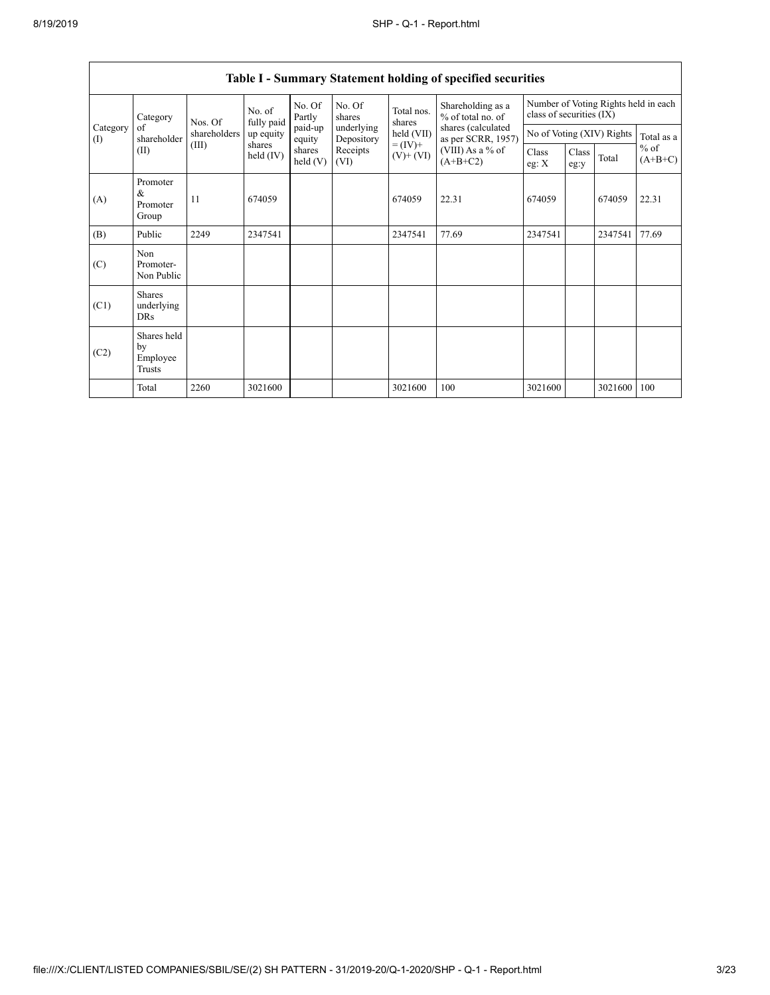| Category<br>of<br>(I) | Category                                | Nos. Of      | No. of<br>fully paid | No. Of<br>Partly                       | No. Of<br>shares<br>underlying<br>Depository<br>Receipts<br>(VI) | Total nos.<br>shares<br>held (VII)<br>$= (IV) +$<br>$(V)$ + $(VI)$ | Shareholding as a<br>% of total no. of<br>shares (calculated<br>as per SCRR, 1957)<br>(VIII) As a % of<br>$(A+B+C2)$ | Number of Voting Rights held in each<br>class of securities (IX) |               |         |                     |
|-----------------------|-----------------------------------------|--------------|----------------------|----------------------------------------|------------------------------------------------------------------|--------------------------------------------------------------------|----------------------------------------------------------------------------------------------------------------------|------------------------------------------------------------------|---------------|---------|---------------------|
|                       | shareholder                             | shareholders | up equity            | paid-up<br>equity<br>shares<br>held(V) |                                                                  |                                                                    |                                                                                                                      | No of Voting (XIV) Rights                                        |               |         | Total as a          |
|                       | (II)                                    | (III)        | shares<br>held (IV)  |                                        |                                                                  |                                                                    |                                                                                                                      | Class<br>eg: $X$                                                 | Class<br>eg:y | Total   | $%$ of<br>$(A+B+C)$ |
| (A)                   | Promoter<br>&<br>Promoter<br>Group      | 11           | 674059               |                                        |                                                                  | 674059                                                             | 22.31                                                                                                                | 674059                                                           |               | 674059  | 22.31               |
| (B)                   | Public                                  | 2249         | 2347541              |                                        |                                                                  | 2347541                                                            | 77.69                                                                                                                | 2347541                                                          |               | 2347541 | 77.69               |
| (C)                   | Non<br>Promoter-<br>Non Public          |              |                      |                                        |                                                                  |                                                                    |                                                                                                                      |                                                                  |               |         |                     |
| (C1)                  | <b>Shares</b><br>underlying<br>DRs      |              |                      |                                        |                                                                  |                                                                    |                                                                                                                      |                                                                  |               |         |                     |
| (C2)                  | Shares held<br>by<br>Employee<br>Trusts |              |                      |                                        |                                                                  |                                                                    |                                                                                                                      |                                                                  |               |         |                     |
|                       | Total                                   | 2260         | 3021600              |                                        |                                                                  | 3021600                                                            | 100                                                                                                                  | 3021600                                                          |               | 3021600 | 100                 |

## **Table I - Summary Statement holding of specified securities**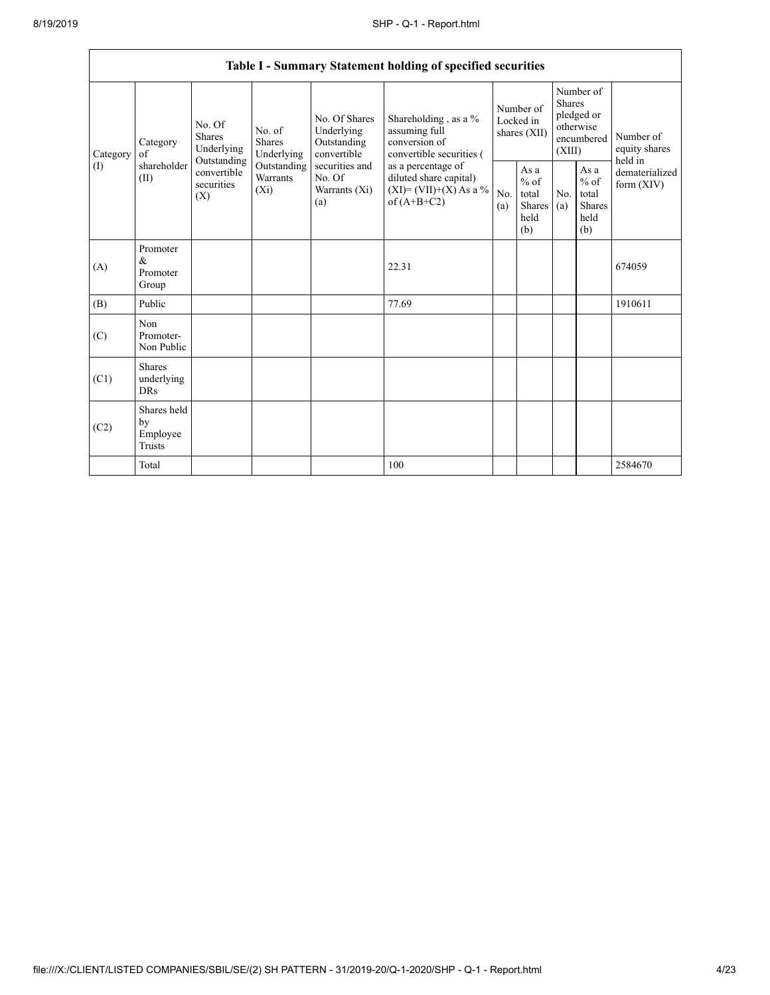| Table I - Summary Statement holding of specified securities |                                           |                                                 |                                    |                                                                                                               |                                                                                                                                                                                |                                        |                                                   |                                                                               |                                                         |                                       |
|-------------------------------------------------------------|-------------------------------------------|-------------------------------------------------|------------------------------------|---------------------------------------------------------------------------------------------------------------|--------------------------------------------------------------------------------------------------------------------------------------------------------------------------------|----------------------------------------|---------------------------------------------------|-------------------------------------------------------------------------------|---------------------------------------------------------|---------------------------------------|
| Category                                                    | Category<br>of                            | No. Of<br>Shares<br>Underlying                  | No. of<br>Shares<br>Underlying     | No. Of Shares<br>Underlying<br>Outstanding<br>convertible<br>securities and<br>No. Of<br>Warrants (Xi)<br>(a) | Shareholding, as a %<br>assuming full<br>conversion of<br>convertible securities (<br>as a percentage of<br>diluted share capital)<br>$(XI)=(VII)+(X) As a %$<br>of $(A+B+C2)$ | Number of<br>Locked in<br>shares (XII) |                                                   | Number of<br><b>Shares</b><br>pledged or<br>otherwise<br>encumbered<br>(XIII) |                                                         | Number of<br>equity shares<br>held in |
| (1)                                                         | shareholder<br>(II)                       | Outstanding<br>convertible<br>securities<br>(X) | Outstanding<br>Warrants<br>$(X_i)$ |                                                                                                               |                                                                                                                                                                                | No.<br>(a)                             | As a<br>$\%$ of<br>total<br>Shares<br>held<br>(b) | No.<br>(a)                                                                    | As a<br>$%$ of<br>total<br><b>Shares</b><br>held<br>(b) | dematerialized<br>form (XIV)          |
| (A)                                                         | Promoter<br>&<br>Promoter<br>Group        |                                                 |                                    |                                                                                                               | 22.31                                                                                                                                                                          |                                        |                                                   |                                                                               |                                                         | 674059                                |
| (B)                                                         | Public                                    |                                                 |                                    |                                                                                                               | 77.69                                                                                                                                                                          |                                        |                                                   |                                                                               |                                                         | 1910611                               |
| (C)                                                         | Non<br>Promoter-<br>Non Public            |                                                 |                                    |                                                                                                               |                                                                                                                                                                                |                                        |                                                   |                                                                               |                                                         |                                       |
| (C1)                                                        | <b>Shares</b><br>underlying<br><b>DRs</b> |                                                 |                                    |                                                                                                               |                                                                                                                                                                                |                                        |                                                   |                                                                               |                                                         |                                       |
| (C2)                                                        | Shares held<br>by<br>Employee<br>Trusts   |                                                 |                                    |                                                                                                               |                                                                                                                                                                                |                                        |                                                   |                                                                               |                                                         |                                       |
|                                                             | Total                                     |                                                 |                                    |                                                                                                               | 100                                                                                                                                                                            |                                        |                                                   |                                                                               |                                                         | 2584670                               |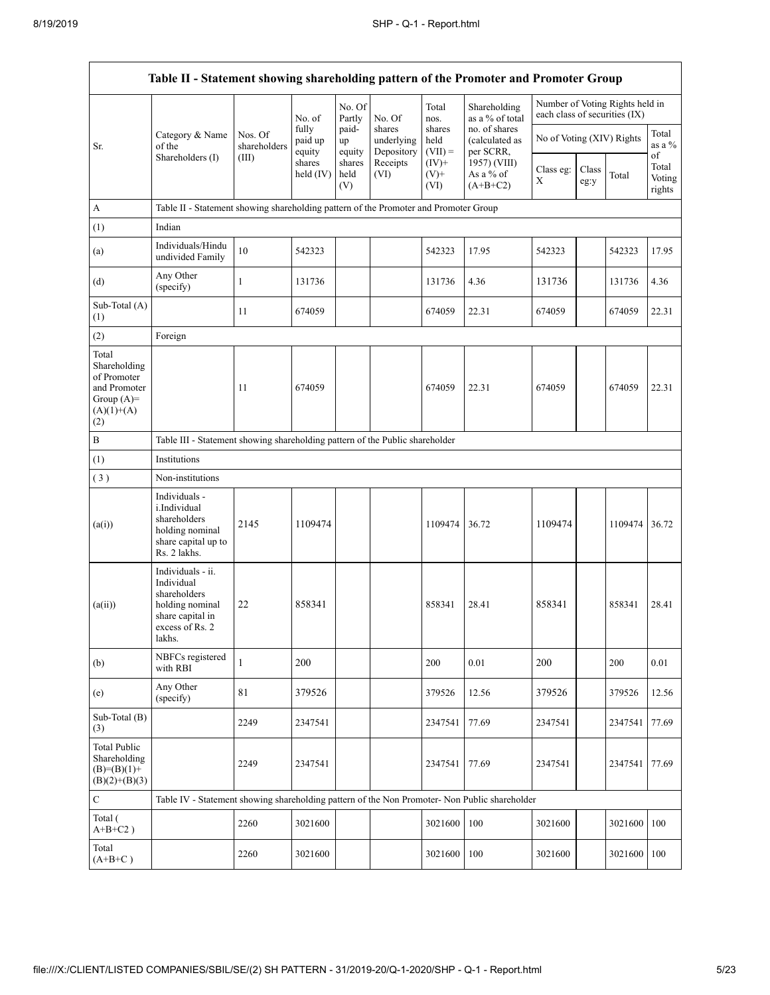|                                                                                             | Table II - Statement showing shareholding pattern of the Promoter and Promoter Group                                |                                                                              |                            |                       |                                    |                             |                                              |                               |               |                                 |                                 |
|---------------------------------------------------------------------------------------------|---------------------------------------------------------------------------------------------------------------------|------------------------------------------------------------------------------|----------------------------|-----------------------|------------------------------------|-----------------------------|----------------------------------------------|-------------------------------|---------------|---------------------------------|---------------------------------|
|                                                                                             |                                                                                                                     |                                                                              | No. of                     | No. Of<br>Partly      | No. Of                             | Total<br>nos.               | Shareholding<br>as a % of total              | each class of securities (IX) |               | Number of Voting Rights held in |                                 |
| Sr.                                                                                         | Category & Name<br>of the                                                                                           | Nos. Of<br>shareholders                                                      | fully<br>paid up<br>equity | paid-<br>up<br>equity | shares<br>underlying<br>Depository | shares<br>held<br>$(VII) =$ | no. of shares<br>(calculated as<br>per SCRR, | No of Voting (XIV) Rights     |               |                                 | Total<br>as a %                 |
|                                                                                             | Shareholders (I)                                                                                                    | (III)                                                                        | shares<br>held $(IV)$      | shares<br>held<br>(V) | Receipts<br>(VI)                   | $(IV)+$<br>$(V)$ +<br>(VI)  | 1957) (VIII)<br>As a % of<br>$(A+B+C2)$      | Class eg:<br>Χ                | Class<br>eg:y | Total                           | of<br>Total<br>Voting<br>rights |
| A                                                                                           | Table II - Statement showing shareholding pattern of the Promoter and Promoter Group                                |                                                                              |                            |                       |                                    |                             |                                              |                               |               |                                 |                                 |
| (1)                                                                                         | Indian                                                                                                              |                                                                              |                            |                       |                                    |                             |                                              |                               |               |                                 |                                 |
| (a)                                                                                         | Individuals/Hindu<br>undivided Family                                                                               | 10                                                                           | 542323                     |                       |                                    | 542323                      | 17.95                                        | 542323                        |               | 542323                          | 17.95                           |
| (d)                                                                                         | Any Other<br>(specify)                                                                                              | $\mathbf{1}$                                                                 | 131736                     |                       |                                    | 131736                      | 4.36                                         | 131736                        |               | 131736                          | 4.36                            |
| Sub-Total (A)<br>(1)                                                                        |                                                                                                                     | 11                                                                           | 674059                     |                       |                                    | 674059                      | 22.31                                        | 674059                        |               | 674059                          | 22.31                           |
| (2)                                                                                         | Foreign                                                                                                             |                                                                              |                            |                       |                                    |                             |                                              |                               |               |                                 |                                 |
| Total<br>Shareholding<br>of Promoter<br>and Promoter<br>Group $(A)=$<br>$(A)(1)+(A)$<br>(2) |                                                                                                                     | 11                                                                           | 674059                     |                       |                                    | 674059                      | 22.31                                        | 674059                        |               | 674059                          | 22.31                           |
| $\, {\bf B}$                                                                                |                                                                                                                     | Table III - Statement showing shareholding pattern of the Public shareholder |                            |                       |                                    |                             |                                              |                               |               |                                 |                                 |
| (1)                                                                                         | Institutions                                                                                                        |                                                                              |                            |                       |                                    |                             |                                              |                               |               |                                 |                                 |
| (3)                                                                                         | Non-institutions                                                                                                    |                                                                              |                            |                       |                                    |                             |                                              |                               |               |                                 |                                 |
| (a(i))                                                                                      | Individuals -<br>i.Individual<br>shareholders<br>holding nominal<br>share capital up to<br>Rs. 2 lakhs.             | 2145                                                                         | 1109474                    |                       |                                    | 1109474                     | 36.72                                        | 1109474                       |               | 1109474                         | 36.72                           |
| (a(ii))                                                                                     | Individuals - ii.<br>Individual<br>shareholders<br>holding nominal<br>share capital in<br>excess of Rs. 2<br>lakhs. | 22                                                                           | 858341                     |                       |                                    | 858341                      | 28.41                                        | 858341                        |               | 858341                          | 28.41                           |
| (b)                                                                                         | NBFCs registered<br>with RBI                                                                                        | $\mathbf{1}$                                                                 | 200                        |                       |                                    | 200                         | 0.01                                         | 200                           |               | 200                             | 0.01                            |
| (e)                                                                                         | Any Other<br>(specify)                                                                                              | 81                                                                           | 379526                     |                       |                                    | 379526                      | 12.56                                        | 379526                        |               | 379526                          | 12.56                           |
| Sub-Total (B)<br>(3)                                                                        |                                                                                                                     | 2249                                                                         | 2347541                    |                       |                                    | 2347541                     | 77.69                                        | 2347541                       |               | 2347541                         | 77.69                           |
| <b>Total Public</b><br>Shareholding<br>$(B)=(B)(1)+$<br>$(B)(2)+(B)(3)$                     |                                                                                                                     | 2249                                                                         | 2347541                    |                       |                                    | 2347541                     | 77.69                                        | 2347541                       |               | 2347541                         | 77.69                           |
| ${\bf C}$                                                                                   | Table IV - Statement showing shareholding pattern of the Non Promoter- Non Public shareholder                       |                                                                              |                            |                       |                                    |                             |                                              |                               |               |                                 |                                 |
| Total (<br>$A+B+C2$ )                                                                       |                                                                                                                     | 2260                                                                         | 3021600                    |                       |                                    | 3021600                     | 100                                          | 3021600                       |               | 3021600                         | 100                             |
| Total<br>$(A+B+C)$                                                                          |                                                                                                                     | 2260                                                                         | 3021600                    |                       |                                    | 3021600                     | 100                                          | 3021600                       |               | 3021600                         | 100                             |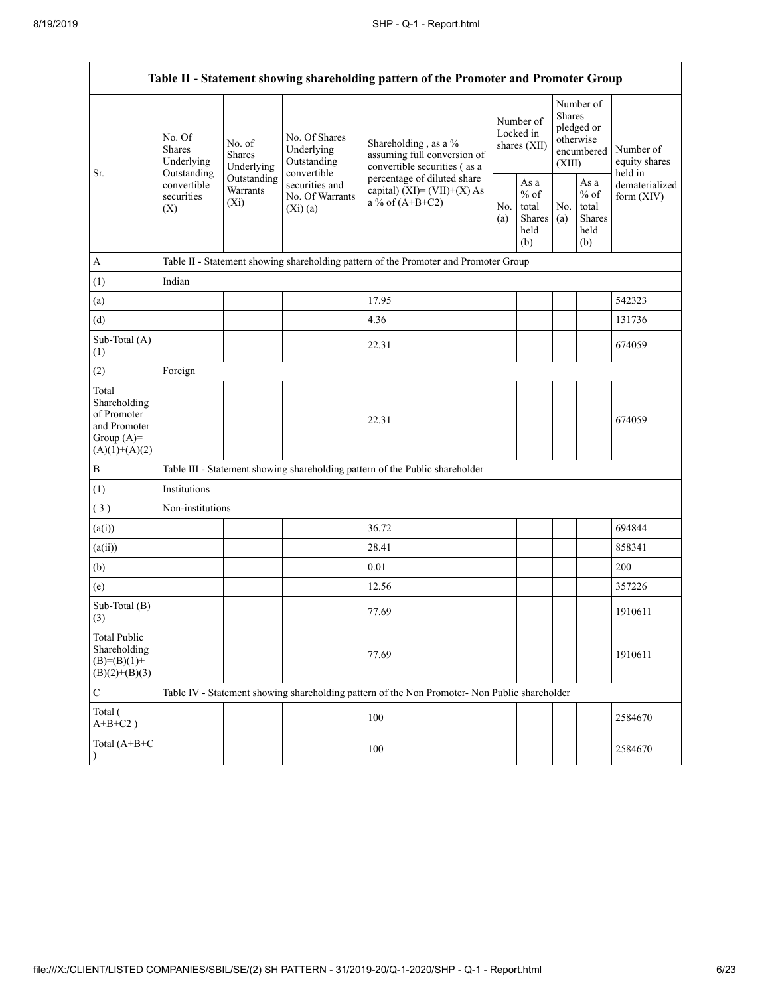| Table II - Statement showing shareholding pattern of the Promoter and Promoter Group    |                                                                                                                                            |             |                                                           |                                                                                                  |                                        |                                                  |                                                                        |                                                  |                                       |
|-----------------------------------------------------------------------------------------|--------------------------------------------------------------------------------------------------------------------------------------------|-------------|-----------------------------------------------------------|--------------------------------------------------------------------------------------------------|----------------------------------------|--------------------------------------------------|------------------------------------------------------------------------|--------------------------------------------------|---------------------------------------|
| Sr.                                                                                     | No. Of<br>No. of<br><b>Shares</b><br><b>Shares</b><br>Underlying<br>Outstanding<br>convertible<br>Warrants<br>securities<br>$(X_i)$<br>(X) | Underlying  | No. Of Shares<br>Underlying<br>Outstanding<br>convertible | Shareholding, as a %<br>assuming full conversion of<br>convertible securities (as a              | Number of<br>Locked in<br>shares (XII) |                                                  | Number of<br>Shares<br>pledged or<br>otherwise<br>encumbered<br>(XIII) |                                                  | Number of<br>equity shares<br>held in |
|                                                                                         |                                                                                                                                            | Outstanding | securities and<br>No. Of Warrants<br>(Xi)(a)              | percentage of diluted share<br>capital) $(XI) = (VII)+(X) As$<br>a % of $(A+B+C2)$<br>No.<br>(a) |                                        | As a<br>$%$ of<br>total<br>Shares<br>held<br>(b) | No.<br>(a)                                                             | As a<br>$%$ of<br>total<br>Shares<br>held<br>(b) | dematerialized<br>form $(XIV)$        |
| $\boldsymbol{\mathsf{A}}$                                                               |                                                                                                                                            |             |                                                           | Table II - Statement showing shareholding pattern of the Promoter and Promoter Group             |                                        |                                                  |                                                                        |                                                  |                                       |
| (1)                                                                                     | Indian                                                                                                                                     |             |                                                           |                                                                                                  |                                        |                                                  |                                                                        |                                                  |                                       |
| (a)                                                                                     |                                                                                                                                            |             |                                                           | 17.95                                                                                            |                                        |                                                  |                                                                        |                                                  | 542323                                |
| (d)                                                                                     |                                                                                                                                            |             |                                                           | 4.36                                                                                             |                                        |                                                  |                                                                        |                                                  | 131736                                |
| Sub-Total (A)<br>(1)                                                                    |                                                                                                                                            |             |                                                           | 22.31                                                                                            |                                        |                                                  |                                                                        |                                                  | 674059                                |
| (2)                                                                                     | Foreign                                                                                                                                    |             |                                                           |                                                                                                  |                                        |                                                  |                                                                        |                                                  |                                       |
| Total<br>Shareholding<br>of Promoter<br>and Promoter<br>Group $(A)=$<br>$(A)(1)+(A)(2)$ |                                                                                                                                            |             |                                                           | 22.31                                                                                            |                                        |                                                  |                                                                        |                                                  | 674059                                |
| $\, {\bf B}$                                                                            |                                                                                                                                            |             |                                                           | Table III - Statement showing shareholding pattern of the Public shareholder                     |                                        |                                                  |                                                                        |                                                  |                                       |
| (1)                                                                                     | Institutions                                                                                                                               |             |                                                           |                                                                                                  |                                        |                                                  |                                                                        |                                                  |                                       |
| (3)                                                                                     | Non-institutions                                                                                                                           |             |                                                           |                                                                                                  |                                        |                                                  |                                                                        |                                                  |                                       |
| (a(i))                                                                                  |                                                                                                                                            |             |                                                           | 36.72                                                                                            |                                        |                                                  |                                                                        |                                                  | 694844                                |
| (a(ii))                                                                                 |                                                                                                                                            |             |                                                           | 28.41                                                                                            |                                        |                                                  |                                                                        |                                                  | 858341                                |
| (b)                                                                                     |                                                                                                                                            |             |                                                           | 0.01                                                                                             |                                        |                                                  |                                                                        |                                                  | 200                                   |
| (e)                                                                                     |                                                                                                                                            |             |                                                           | 12.56                                                                                            |                                        |                                                  |                                                                        |                                                  | 357226                                |
| Sub-Total (B)<br>(3)                                                                    |                                                                                                                                            |             |                                                           | 77.69                                                                                            |                                        |                                                  |                                                                        |                                                  | 1910611                               |
| <b>Total Public</b><br>Shareholding<br>$(B)=(B)(1)+$<br>$(B)(2)+(B)(3)$                 |                                                                                                                                            |             |                                                           | 77.69                                                                                            |                                        |                                                  |                                                                        |                                                  | 1910611                               |
| ${\bf C}$                                                                               |                                                                                                                                            |             |                                                           | Table IV - Statement showing shareholding pattern of the Non Promoter- Non Public shareholder    |                                        |                                                  |                                                                        |                                                  |                                       |
| Total (<br>$A+B+C2$ )                                                                   |                                                                                                                                            |             |                                                           | 100                                                                                              |                                        |                                                  |                                                                        |                                                  | 2584670                               |
| Total (A+B+C<br>$\lambda$                                                               |                                                                                                                                            |             |                                                           | 100                                                                                              |                                        |                                                  |                                                                        |                                                  | 2584670                               |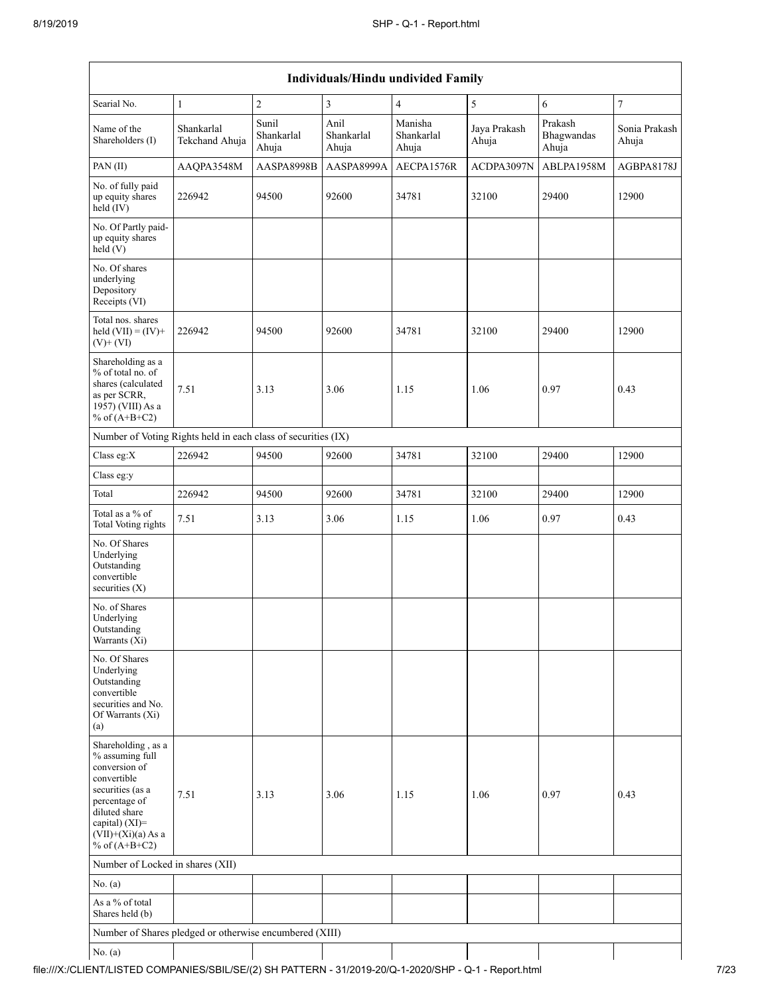| <b>Individuals/Hindu undivided Family</b>                                                                                                                                                   |                              |                              |                             |                                |                       |                                |                        |  |
|---------------------------------------------------------------------------------------------------------------------------------------------------------------------------------------------|------------------------------|------------------------------|-----------------------------|--------------------------------|-----------------------|--------------------------------|------------------------|--|
| Searial No.                                                                                                                                                                                 | $\mathbf{1}$                 | $\sqrt{2}$                   | 3                           | $\overline{4}$                 | 5                     | 6                              | $\overline{7}$         |  |
| Name of the<br>Shareholders (I)                                                                                                                                                             | Shankarlal<br>Tekchand Ahuja | Sunil<br>Shankarlal<br>Ahuja | Anil<br>Shankarlal<br>Ahuja | Manisha<br>Shankarlal<br>Ahuja | Jaya Prakash<br>Ahuja | Prakash<br>Bhagwandas<br>Ahuja | Sonia Prakash<br>Ahuja |  |
| PAN (II)                                                                                                                                                                                    | AAQPA3548M                   | AASPA8998B                   | AASPA8999A                  | AECPA1576R                     | ACDPA3097N            | ABLPA1958M                     | AGBPA8178J             |  |
| No. of fully paid<br>up equity shares<br>held (IV)                                                                                                                                          | 226942                       | 94500                        | 92600                       | 34781                          | 32100                 | 29400                          | 12900                  |  |
| No. Of Partly paid-<br>up equity shares<br>held (V)                                                                                                                                         |                              |                              |                             |                                |                       |                                |                        |  |
| No. Of shares<br>underlying<br>Depository<br>Receipts (VI)                                                                                                                                  |                              |                              |                             |                                |                       |                                |                        |  |
| Total nos. shares<br>held $(VII) = (IV) +$<br>$(V)$ + $(VI)$                                                                                                                                | 226942                       | 94500                        | 92600                       | 34781                          | 32100                 | 29400                          | 12900                  |  |
| Shareholding as a<br>% of total no. of<br>shares (calculated<br>as per SCRR,<br>1957) (VIII) As a<br>% of $(A+B+C2)$                                                                        | 7.51                         | 3.13                         | 3.06                        | 1.15                           | 1.06                  | 0.97                           | 0.43                   |  |
| Number of Voting Rights held in each class of securities (IX)                                                                                                                               |                              |                              |                             |                                |                       |                                |                        |  |
| Class eg:X                                                                                                                                                                                  | 226942                       | 94500                        | 92600                       | 34781                          | 32100                 | 29400                          | 12900                  |  |
| Class eg:y                                                                                                                                                                                  |                              |                              |                             |                                |                       |                                |                        |  |
| Total                                                                                                                                                                                       | 226942                       | 94500                        | 92600                       | 34781                          | 32100                 | 29400                          | 12900                  |  |
| Total as a % of<br><b>Total Voting rights</b>                                                                                                                                               | 7.51                         | 3.13                         | 3.06                        | 1.15                           | 1.06                  | 0.97                           | 0.43                   |  |
| No. Of Shares<br>Underlying<br>Outstanding<br>convertible<br>securities $(X)$                                                                                                               |                              |                              |                             |                                |                       |                                |                        |  |
| No. of Shares<br>Underlying<br>Outstanding<br>Warrants (Xi)                                                                                                                                 |                              |                              |                             |                                |                       |                                |                        |  |
| No. Of Shares<br>Underlying<br>Outstanding<br>convertible<br>securities and No.<br>Of Warrants (Xi)<br>(a)                                                                                  |                              |                              |                             |                                |                       |                                |                        |  |
| Shareholding, as a<br>% assuming full<br>conversion of<br>convertible<br>securities (as a<br>percentage of<br>diluted share<br>capital) $(XI)$ =<br>$(VII)+(Xi)(a)$ As a<br>% of $(A+B+C2)$ | 7.51                         | 3.13                         | 3.06                        | 1.15                           | 1.06                  | 0.97                           | 0.43                   |  |
| Number of Locked in shares (XII)                                                                                                                                                            |                              |                              |                             |                                |                       |                                |                        |  |
| No. (a)                                                                                                                                                                                     |                              |                              |                             |                                |                       |                                |                        |  |
| As a % of total<br>Shares held (b)                                                                                                                                                          |                              |                              |                             |                                |                       |                                |                        |  |
| Number of Shares pledged or otherwise encumbered (XIII)                                                                                                                                     |                              |                              |                             |                                |                       |                                |                        |  |
| No. (a)                                                                                                                                                                                     |                              |                              |                             |                                |                       |                                |                        |  |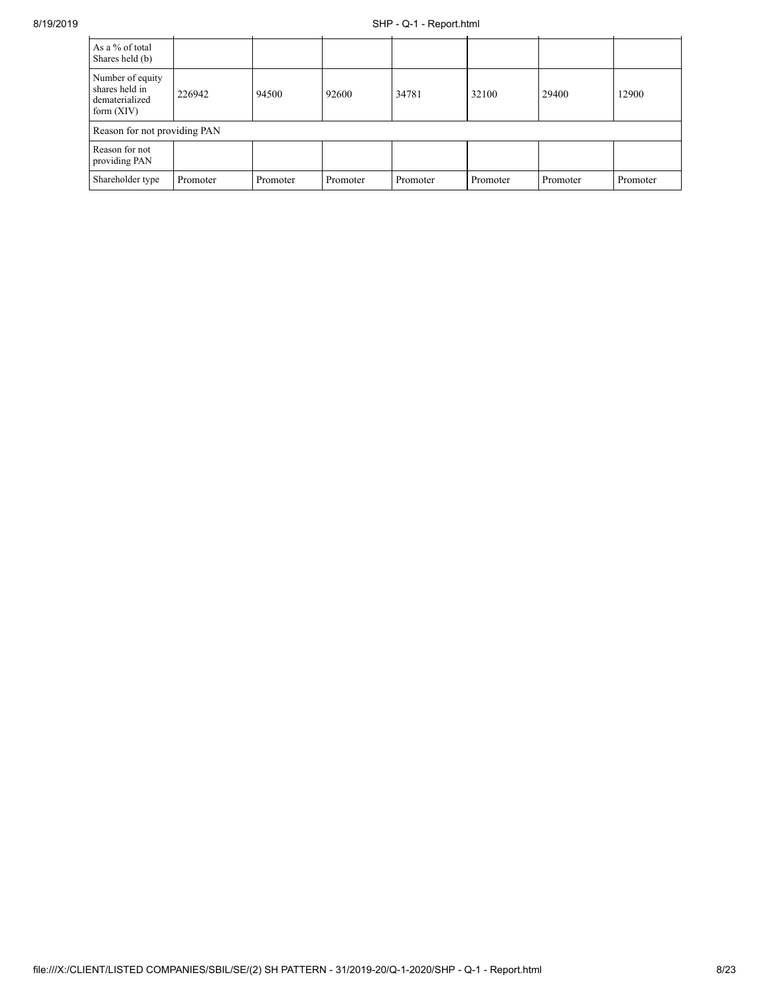## 8/19/2019 SHP - Q-1 - Report.html

| As a % of total<br>Shares held (b)                                   |          |          |          |          |          |          |          |
|----------------------------------------------------------------------|----------|----------|----------|----------|----------|----------|----------|
| Number of equity<br>shares held in<br>dematerialized<br>form $(XIV)$ | 226942   | 94500    | 92600    | 34781    | 32100    | 29400    | 12900    |
| Reason for not providing PAN                                         |          |          |          |          |          |          |          |
| Reason for not<br>providing PAN                                      |          |          |          |          |          |          |          |
| Shareholder type                                                     | Promoter | Promoter | Promoter | Promoter | Promoter | Promoter | Promoter |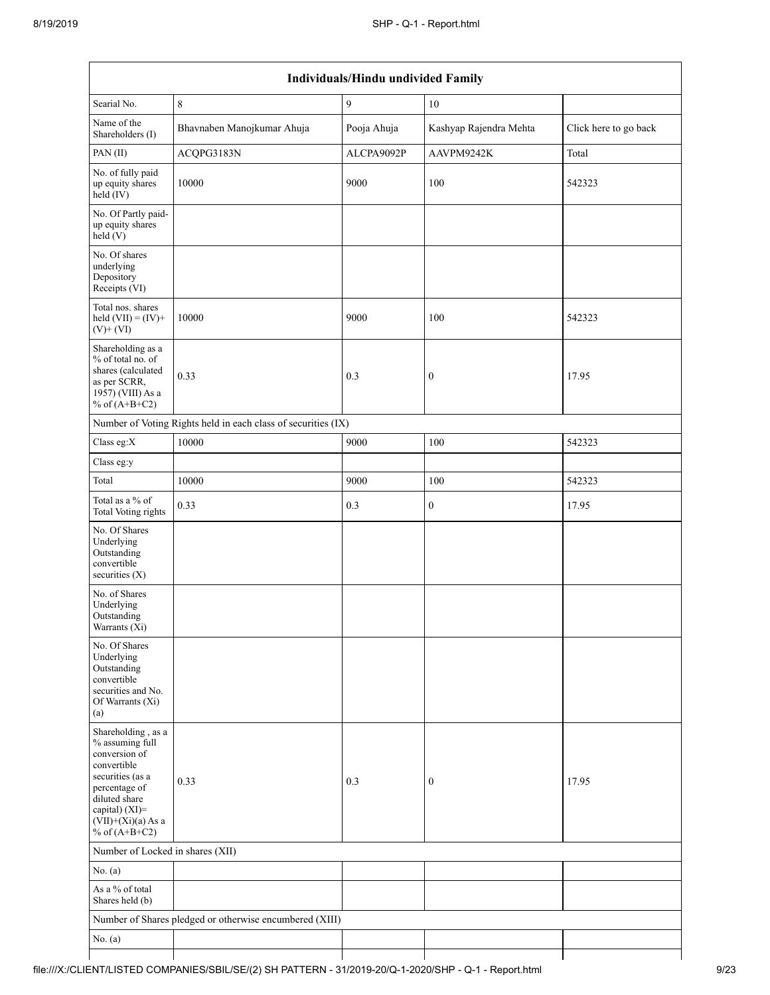|                                                                                                                                                                                          | Individuals/Hindu undivided Family                            |             |                        |                       |  |  |  |  |
|------------------------------------------------------------------------------------------------------------------------------------------------------------------------------------------|---------------------------------------------------------------|-------------|------------------------|-----------------------|--|--|--|--|
| Searial No.                                                                                                                                                                              | $\,8\,$                                                       | 9           | 10                     |                       |  |  |  |  |
| Name of the<br>Shareholders (I)                                                                                                                                                          | Bhavnaben Manojkumar Ahuja                                    | Pooja Ahuja | Kashyap Rajendra Mehta | Click here to go back |  |  |  |  |
| PAN(II)                                                                                                                                                                                  | ACQPG3183N                                                    | ALCPA9092P  | AAVPM9242K             | Total                 |  |  |  |  |
| No. of fully paid<br>up equity shares<br>$held$ $(V)$                                                                                                                                    | 10000                                                         | 9000        | 100                    | 542323                |  |  |  |  |
| No. Of Partly paid-<br>up equity shares<br>held(V)                                                                                                                                       |                                                               |             |                        |                       |  |  |  |  |
| No. Of shares<br>underlying<br>Depository<br>Receipts (VI)                                                                                                                               |                                                               |             |                        |                       |  |  |  |  |
| Total nos. shares<br>held $(VII) = (IV) +$<br>$(V)$ + $(VI)$                                                                                                                             | 10000                                                         | 9000        | 100                    | 542323                |  |  |  |  |
| Shareholding as a<br>% of total no. of<br>shares (calculated<br>as per SCRR,<br>1957) (VIII) As a<br>% of $(A+B+C2)$                                                                     | 0.33                                                          | 0.3         | $\boldsymbol{0}$       | 17.95                 |  |  |  |  |
|                                                                                                                                                                                          | Number of Voting Rights held in each class of securities (IX) |             |                        |                       |  |  |  |  |
| Class eg:X                                                                                                                                                                               | 10000                                                         | 9000        | 100                    | 542323                |  |  |  |  |
| Class eg:y                                                                                                                                                                               |                                                               |             |                        |                       |  |  |  |  |
| Total                                                                                                                                                                                    | 10000                                                         | 9000        | 100                    | 542323                |  |  |  |  |
| Total as a % of<br>Total Voting rights                                                                                                                                                   | 0.33                                                          | 0.3         | $\boldsymbol{0}$       | 17.95                 |  |  |  |  |
| No. Of Shares<br>Underlying<br>Outstanding<br>convertible<br>securities (X)                                                                                                              |                                                               |             |                        |                       |  |  |  |  |
| No. of Shares<br>Underlying<br>Outstanding<br>Warrants (Xi)                                                                                                                              |                                                               |             |                        |                       |  |  |  |  |
| No. Of Shares<br>Underlying<br>Outstanding<br>convertible<br>securities and No.<br>Of Warrants (Xi)<br>(a)                                                                               |                                                               |             |                        |                       |  |  |  |  |
| Shareholding, as a<br>% assuming full<br>conversion of<br>convertible<br>securities (as a<br>percentage of<br>diluted share<br>capital) (XI)=<br>$(VII)+(Xi)(a)$ As a<br>% of $(A+B+C2)$ | 0.33                                                          | 0.3         | $\boldsymbol{0}$       | 17.95                 |  |  |  |  |
| Number of Locked in shares (XII)                                                                                                                                                         |                                                               |             |                        |                       |  |  |  |  |
| No. $(a)$                                                                                                                                                                                |                                                               |             |                        |                       |  |  |  |  |
| As a % of total<br>Shares held (b)                                                                                                                                                       |                                                               |             |                        |                       |  |  |  |  |
|                                                                                                                                                                                          | Number of Shares pledged or otherwise encumbered (XIII)       |             |                        |                       |  |  |  |  |
| No. $(a)$                                                                                                                                                                                |                                                               |             |                        |                       |  |  |  |  |
|                                                                                                                                                                                          |                                                               |             |                        |                       |  |  |  |  |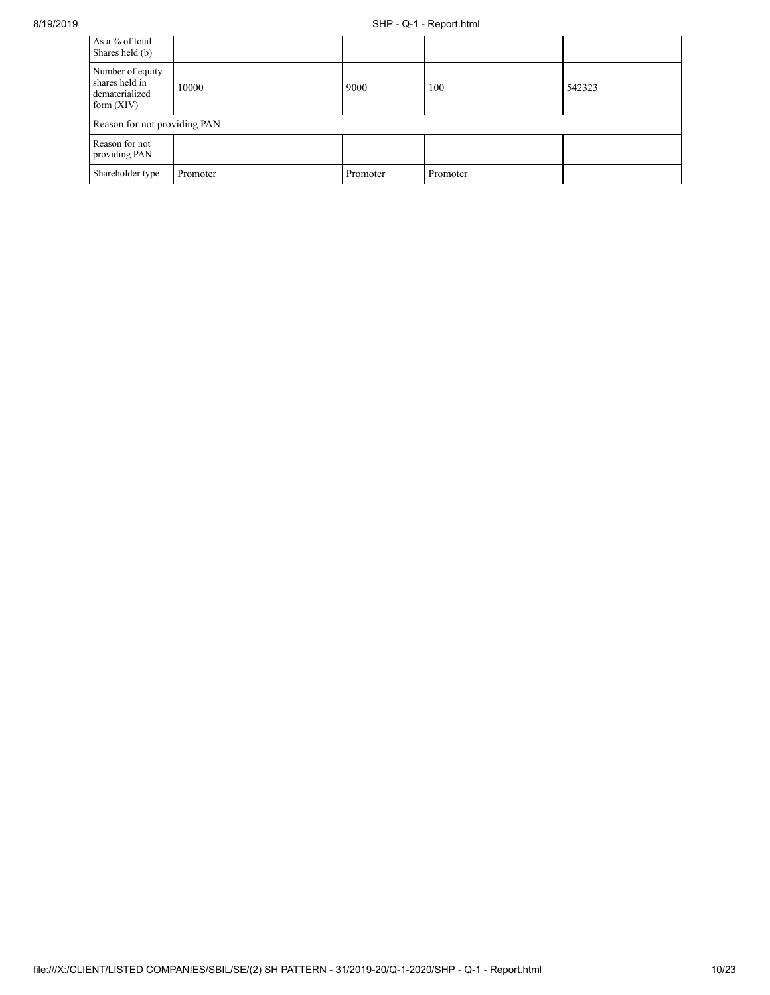## 8/19/2019 SHP - Q-1 - Report.html

| As a % of total<br>Shares held (b)                                   |          |          |          |        |
|----------------------------------------------------------------------|----------|----------|----------|--------|
| Number of equity<br>shares held in<br>dematerialized<br>form $(XIV)$ | 10000    | 9000     | 100      | 542323 |
| Reason for not providing PAN                                         |          |          |          |        |
| Reason for not<br>providing PAN                                      |          |          |          |        |
| Shareholder type                                                     | Promoter | Promoter | Promoter |        |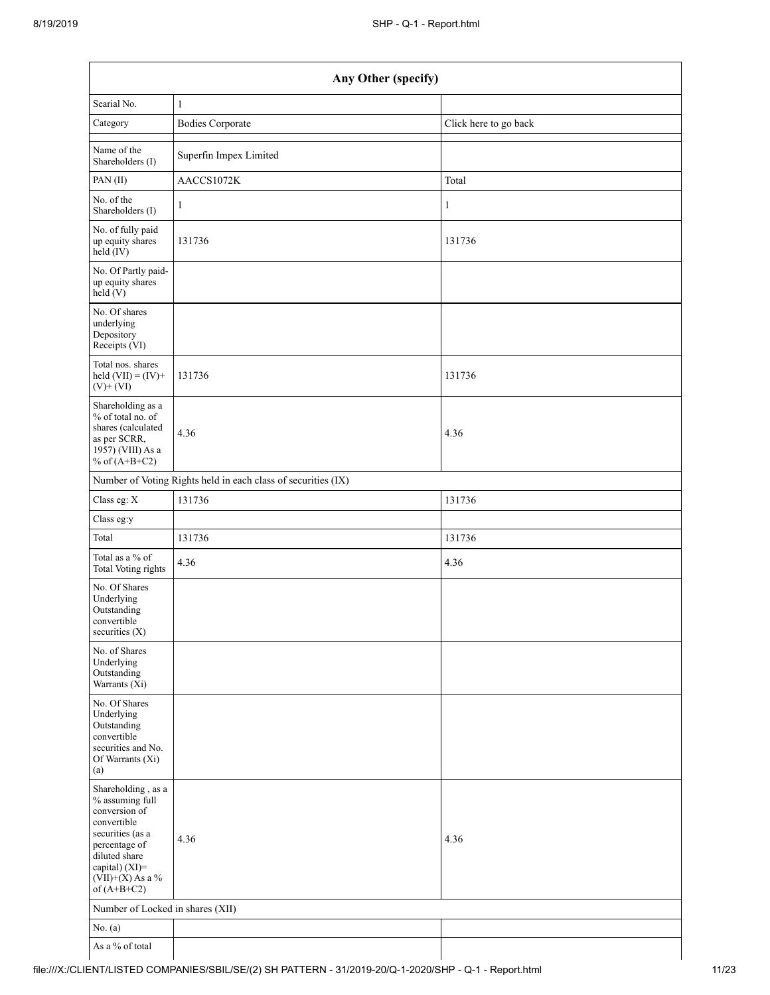| Any Other (specify)                                                                                                                                                                  |                                                               |                       |  |  |  |  |  |  |
|--------------------------------------------------------------------------------------------------------------------------------------------------------------------------------------|---------------------------------------------------------------|-----------------------|--|--|--|--|--|--|
| Searial No.                                                                                                                                                                          | $\mathbf{1}$                                                  |                       |  |  |  |  |  |  |
| Category                                                                                                                                                                             | <b>Bodies Corporate</b>                                       | Click here to go back |  |  |  |  |  |  |
| Name of the<br>Shareholders (I)                                                                                                                                                      | Superfin Impex Limited                                        |                       |  |  |  |  |  |  |
| PAN (II)                                                                                                                                                                             | AACCS1072K                                                    | Total                 |  |  |  |  |  |  |
| No. of the<br>Shareholders (I)                                                                                                                                                       | $\mathbf{1}$                                                  | 1                     |  |  |  |  |  |  |
| No. of fully paid<br>up equity shares<br>held (IV)                                                                                                                                   | 131736                                                        | 131736                |  |  |  |  |  |  |
| No. Of Partly paid-<br>up equity shares<br>held(V)                                                                                                                                   |                                                               |                       |  |  |  |  |  |  |
| No. Of shares<br>underlying<br>Depository<br>Receipts (VI)                                                                                                                           |                                                               |                       |  |  |  |  |  |  |
| Total nos. shares<br>held $(VII) = (IV) +$<br>$(V)$ + $(VI)$                                                                                                                         | 131736                                                        | 131736                |  |  |  |  |  |  |
| Shareholding as a<br>% of total no. of<br>shares (calculated<br>as per SCRR,<br>1957) (VIII) As a<br>% of $(A+B+C2)$                                                                 | 4.36                                                          | 4.36                  |  |  |  |  |  |  |
|                                                                                                                                                                                      | Number of Voting Rights held in each class of securities (IX) |                       |  |  |  |  |  |  |
| Class eg: X                                                                                                                                                                          | 131736                                                        | 131736                |  |  |  |  |  |  |
| Class eg:y                                                                                                                                                                           |                                                               |                       |  |  |  |  |  |  |
| Total                                                                                                                                                                                | 131736                                                        | 131736                |  |  |  |  |  |  |
| Total as a % of<br><b>Total Voting rights</b>                                                                                                                                        | 4.36                                                          | 4.36                  |  |  |  |  |  |  |
| No. Of Shares<br>Underlying<br>Outstanding<br>convertible<br>securities (X)                                                                                                          |                                                               |                       |  |  |  |  |  |  |
| No. of Shares<br>Underlying<br>Outstanding<br>Warrants $(X_i)$                                                                                                                       |                                                               |                       |  |  |  |  |  |  |
| No. Of Shares<br>Underlying<br>Outstanding<br>convertible<br>securities and No.<br>Of Warrants (Xi)<br>(a)                                                                           |                                                               |                       |  |  |  |  |  |  |
| Shareholding, as a<br>% assuming full<br>conversion of<br>convertible<br>securities (as a<br>percentage of<br>diluted share<br>capital) (XI)=<br>$(VII)+(X)$ As a %<br>of $(A+B+C2)$ | 4.36                                                          | 4.36                  |  |  |  |  |  |  |
| Number of Locked in shares (XII)                                                                                                                                                     |                                                               |                       |  |  |  |  |  |  |
| No. $(a)$                                                                                                                                                                            |                                                               |                       |  |  |  |  |  |  |
| As a % of total                                                                                                                                                                      |                                                               |                       |  |  |  |  |  |  |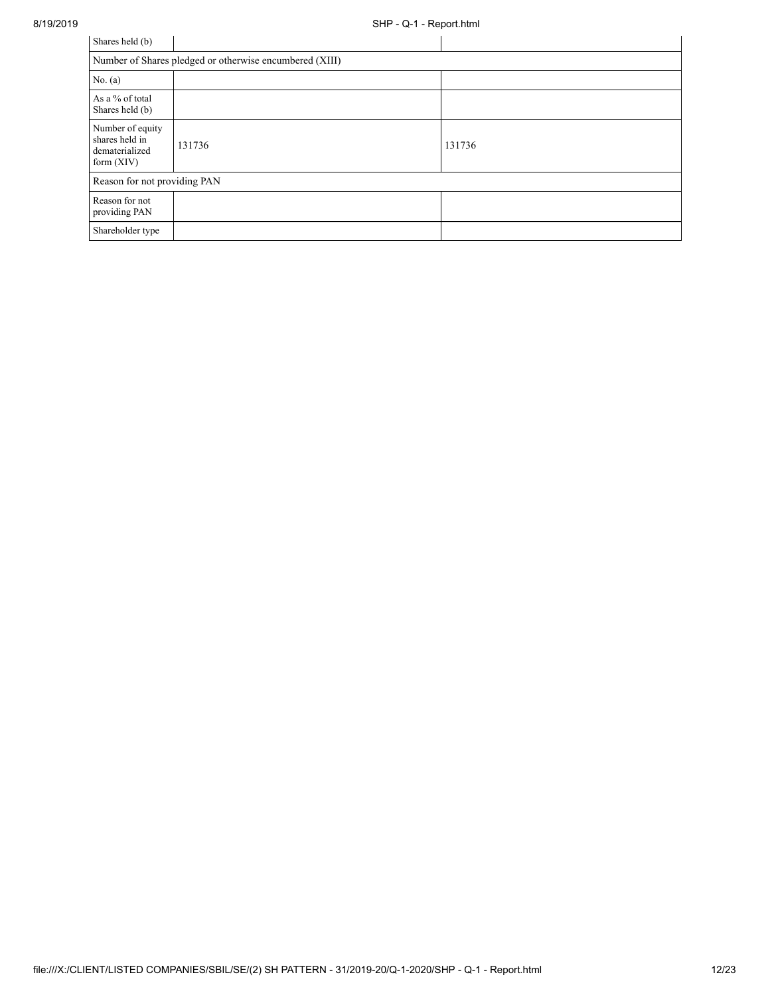| Shares held (b)                                                      |        |        |  |  |  |  |  |
|----------------------------------------------------------------------|--------|--------|--|--|--|--|--|
| Number of Shares pledged or otherwise encumbered (XIII)              |        |        |  |  |  |  |  |
| No. $(a)$                                                            |        |        |  |  |  |  |  |
| As a % of total<br>Shares held (b)                                   |        |        |  |  |  |  |  |
| Number of equity<br>shares held in<br>dematerialized<br>form $(XIV)$ | 131736 | 131736 |  |  |  |  |  |
| Reason for not providing PAN                                         |        |        |  |  |  |  |  |
| Reason for not<br>providing PAN                                      |        |        |  |  |  |  |  |
| Shareholder type                                                     |        |        |  |  |  |  |  |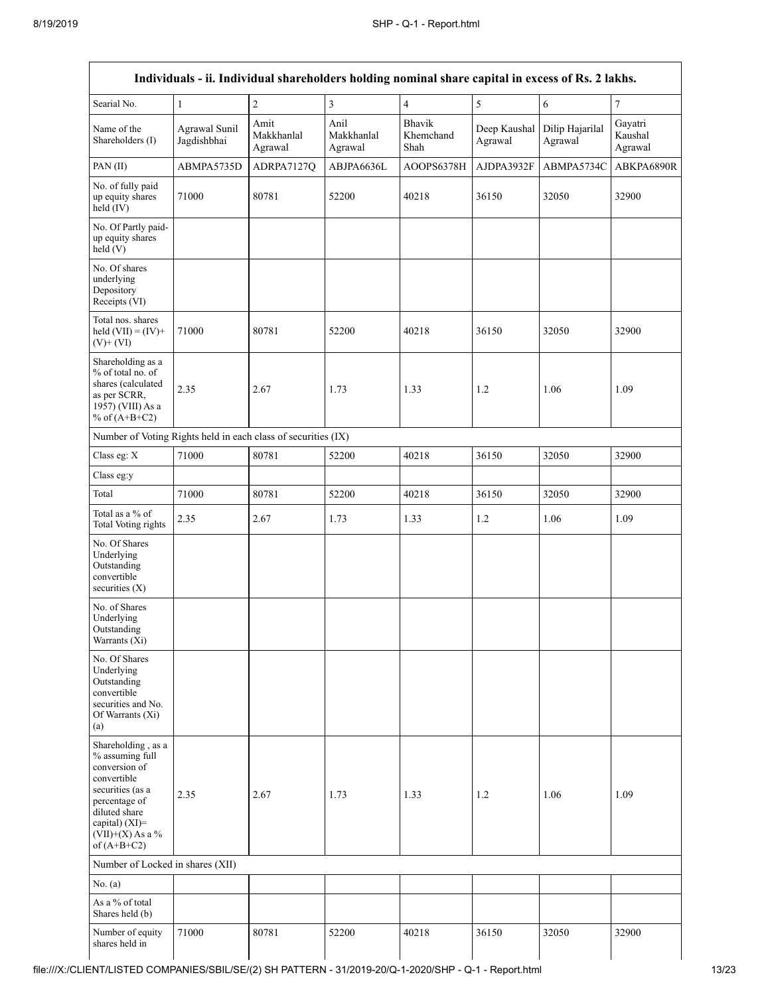| Individuals - ii. Individual shareholders holding nominal share capital in excess of Rs. 2 lakhs.                                                                                    |                              |                               |                               |                             |                         |                            |                               |
|--------------------------------------------------------------------------------------------------------------------------------------------------------------------------------------|------------------------------|-------------------------------|-------------------------------|-----------------------------|-------------------------|----------------------------|-------------------------------|
| Searial No.                                                                                                                                                                          | $\mathbf{1}$                 | $\sqrt{2}$                    | $\mathfrak{Z}$                | $\overline{4}$              | 5                       | $\sqrt{6}$                 | $\tau$                        |
| Name of the<br>Shareholders (I)                                                                                                                                                      | Agrawal Sunil<br>Jagdishbhai | Amit<br>Makkhanlal<br>Agrawal | Anil<br>Makkhanlal<br>Agrawal | Bhavik<br>Khemchand<br>Shah | Deep Kaushal<br>Agrawal | Dilip Hajarilal<br>Agrawal | Gayatri<br>Kaushal<br>Agrawal |
| PAN (II)                                                                                                                                                                             | ABMPA5735D                   | ADRPA7127Q                    | ABJPA6636L                    | AOOPS6378H                  | AJDPA3932F              | ABMPA5734C                 | ABKPA6890R                    |
| No. of fully paid<br>up equity shares<br>held (IV)                                                                                                                                   | 71000                        | 80781                         | 52200                         | 40218                       | 36150                   | 32050                      | 32900                         |
| No. Of Partly paid-<br>up equity shares<br>held (V)                                                                                                                                  |                              |                               |                               |                             |                         |                            |                               |
| No. Of shares<br>underlying<br>Depository<br>Receipts (VI)                                                                                                                           |                              |                               |                               |                             |                         |                            |                               |
| Total nos. shares<br>held $(VII) = (IV) +$<br>$(V)$ + $(VI)$                                                                                                                         | 71000                        | 80781                         | 52200                         | 40218                       | 36150                   | 32050                      | 32900                         |
| Shareholding as a<br>% of total no. of<br>shares (calculated<br>as per SCRR,<br>1957) (VIII) As a<br>% of $(A+B+C2)$                                                                 | 2.35                         | 2.67                          | 1.73                          | 1.33                        | 1.2                     | 1.06                       | 1.09                          |
| Number of Voting Rights held in each class of securities (IX)                                                                                                                        |                              |                               |                               |                             |                         |                            |                               |
| Class eg: X                                                                                                                                                                          | 71000                        | 80781                         | 52200                         | 40218                       | 36150                   | 32050                      | 32900                         |
| Class eg:y                                                                                                                                                                           |                              |                               |                               |                             |                         |                            |                               |
| Total                                                                                                                                                                                | 71000                        | 80781                         | 52200                         | 40218                       | 36150                   | 32050                      | 32900                         |
| Total as a % of<br><b>Total Voting rights</b>                                                                                                                                        | 2.35                         | 2.67                          | 1.73                          | 1.33                        | 1.2                     | 1.06                       | 1.09                          |
| No. Of Shares<br>Underlying<br>Outstanding<br>convertible<br>securities $(X)$                                                                                                        |                              |                               |                               |                             |                         |                            |                               |
| No. of Shares<br>Underlying<br>Outstanding<br>Warrants (Xi)                                                                                                                          |                              |                               |                               |                             |                         |                            |                               |
| No. Of Shares<br>Underlying<br>Outstanding<br>convertible<br>securities and No.<br>Of Warrants (Xi)<br>(a)                                                                           |                              |                               |                               |                             |                         |                            |                               |
| Shareholding, as a<br>% assuming full<br>conversion of<br>convertible<br>securities (as a<br>percentage of<br>diluted share<br>capital) (XI)=<br>$(VII)+(X)$ As a %<br>of $(A+B+C2)$ | 2.35                         | 2.67                          | 1.73                          | 1.33                        | 1.2                     | 1.06                       | 1.09                          |
| Number of Locked in shares (XII)                                                                                                                                                     |                              |                               |                               |                             |                         |                            |                               |
| No. $(a)$                                                                                                                                                                            |                              |                               |                               |                             |                         |                            |                               |
| As a % of total<br>Shares held (b)                                                                                                                                                   |                              |                               |                               |                             |                         |                            |                               |
| Number of equity<br>shares held in                                                                                                                                                   | 71000                        | 80781                         | 52200                         | 40218                       | 36150                   | 32050                      | 32900                         |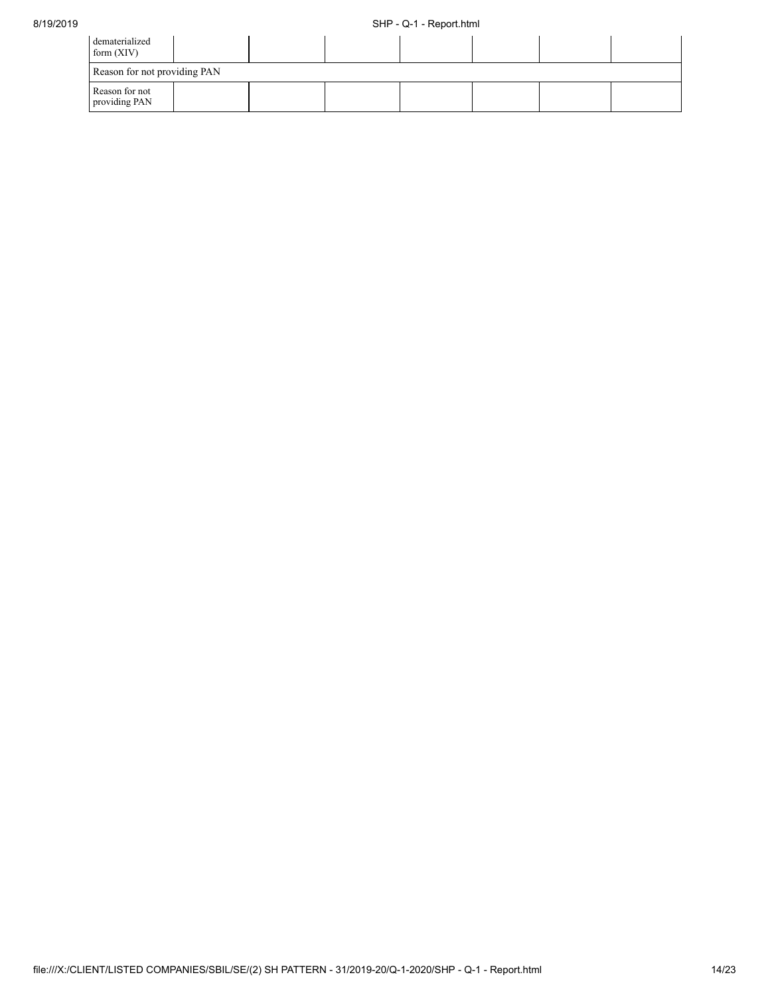| dematerialized<br>form $(XIV)$  |  |  |  |  |  |  |  |
|---------------------------------|--|--|--|--|--|--|--|
| Reason for not providing PAN    |  |  |  |  |  |  |  |
| Reason for not<br>providing PAN |  |  |  |  |  |  |  |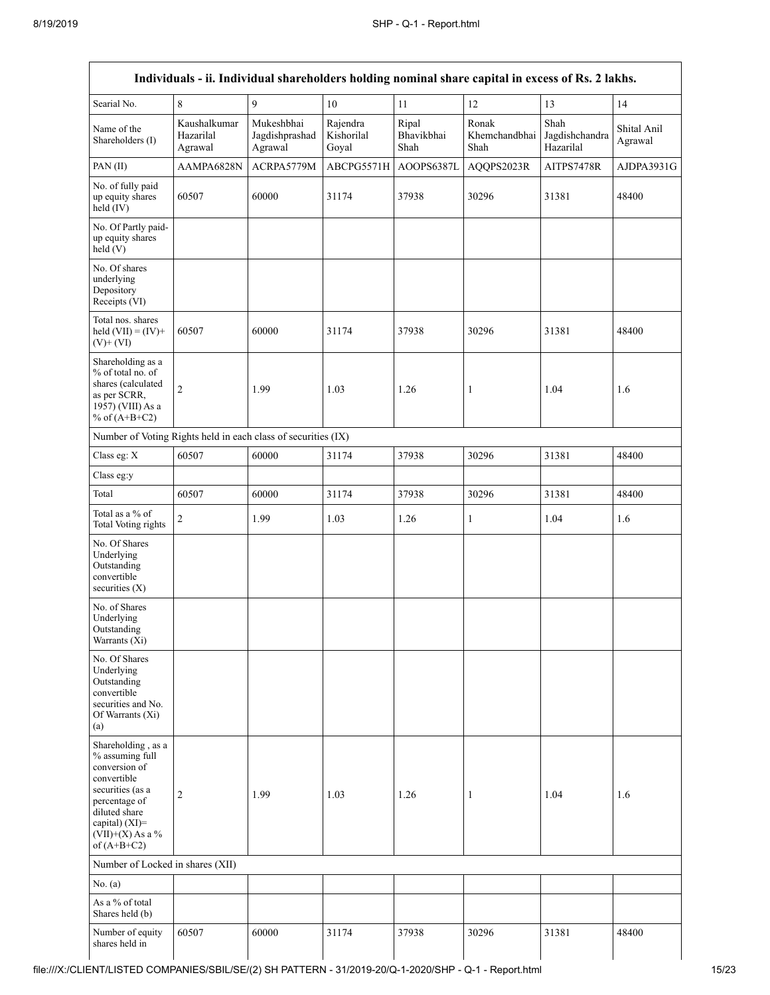|                                                                                                                                                                                      |                                      |                                         |                                 |                             | Individuals - ii. Individual shareholders holding nominal share capital in excess of Rs. 2 lakhs. |                                     |                        |
|--------------------------------------------------------------------------------------------------------------------------------------------------------------------------------------|--------------------------------------|-----------------------------------------|---------------------------------|-----------------------------|---------------------------------------------------------------------------------------------------|-------------------------------------|------------------------|
| Searial No.                                                                                                                                                                          | $\,$ 8 $\,$                          | 9                                       | 10                              | 11                          | 12                                                                                                | 13                                  | 14                     |
| Name of the<br>Shareholders (I)                                                                                                                                                      | Kaushalkumar<br>Hazarilal<br>Agrawal | Mukeshbhai<br>Jagdishprashad<br>Agrawal | Rajendra<br>Kishorilal<br>Goyal | Ripal<br>Bhavikbhai<br>Shah | Ronak<br>Khemchandbhai<br>Shah                                                                    | Shah<br>Jagdishchandra<br>Hazarilal | Shital Anil<br>Agrawal |
| PAN(II)                                                                                                                                                                              | AAMPA6828N                           | ACRPA5779M                              | ABCPG5571H                      | AOOPS6387L                  | AQQPS2023R                                                                                        | AITPS7478R                          | AJDPA3931G             |
| No. of fully paid<br>up equity shares<br>held (IV)                                                                                                                                   | 60507                                | 60000                                   | 31174                           | 37938                       | 30296                                                                                             | 31381                               | 48400                  |
| No. Of Partly paid-<br>up equity shares<br>held(V)                                                                                                                                   |                                      |                                         |                                 |                             |                                                                                                   |                                     |                        |
| No. Of shares<br>underlying<br>Depository<br>Receipts (VI)                                                                                                                           |                                      |                                         |                                 |                             |                                                                                                   |                                     |                        |
| Total nos. shares<br>held $(VII) = (IV) +$<br>$(V)$ + $(VI)$                                                                                                                         | 60507                                | 60000                                   | 31174                           | 37938                       | 30296                                                                                             | 31381                               | 48400                  |
| Shareholding as a<br>% of total no. of<br>shares (calculated<br>as per SCRR,<br>1957) (VIII) As a<br>% of $(A+B+C2)$                                                                 | $\overline{2}$                       | 1.99                                    | 1.03                            | 1.26                        | $\mathbf{1}$                                                                                      | 1.04                                | 1.6                    |
| Number of Voting Rights held in each class of securities (IX)                                                                                                                        |                                      |                                         |                                 |                             |                                                                                                   |                                     |                        |
| Class eg: X                                                                                                                                                                          | 60507                                | 60000                                   | 31174                           | 37938                       | 30296                                                                                             | 31381                               | 48400                  |
| Class eg:y                                                                                                                                                                           |                                      |                                         |                                 |                             |                                                                                                   |                                     |                        |
| Total                                                                                                                                                                                | 60507                                | 60000                                   | 31174                           | 37938                       | 30296                                                                                             | 31381                               | 48400                  |
| Total as a % of<br><b>Total Voting rights</b>                                                                                                                                        | $\overline{2}$                       | 1.99                                    | 1.03                            | 1.26                        | $\mathbf{1}$                                                                                      | 1.04                                | 1.6                    |
| No. Of Shares<br>Underlying<br>Outstanding<br>convertible<br>securities $(X)$                                                                                                        |                                      |                                         |                                 |                             |                                                                                                   |                                     |                        |
| No. of Shares<br>Underlying<br>Outstanding<br>Warrants (Xi)                                                                                                                          |                                      |                                         |                                 |                             |                                                                                                   |                                     |                        |
| No. Of Shares<br>Underlying<br>Outstanding<br>convertible<br>securities and No.<br>Of Warrants (Xi)<br>(a)                                                                           |                                      |                                         |                                 |                             |                                                                                                   |                                     |                        |
| Shareholding, as a<br>% assuming full<br>conversion of<br>convertible<br>securities (as a<br>percentage of<br>diluted share<br>capital) (XI)=<br>$(VII)+(X)$ As a %<br>of $(A+B+C2)$ | $\overline{c}$                       | 1.99                                    | 1.03                            | 1.26                        | 1                                                                                                 | 1.04                                | 1.6                    |
| Number of Locked in shares (XII)                                                                                                                                                     |                                      |                                         |                                 |                             |                                                                                                   |                                     |                        |
| No. (a)                                                                                                                                                                              |                                      |                                         |                                 |                             |                                                                                                   |                                     |                        |
| As a % of total<br>Shares held (b)                                                                                                                                                   |                                      |                                         |                                 |                             |                                                                                                   |                                     |                        |
| Number of equity<br>shares held in                                                                                                                                                   | 60507                                | 60000                                   | 31174                           | 37938                       | 30296                                                                                             | 31381                               | 48400                  |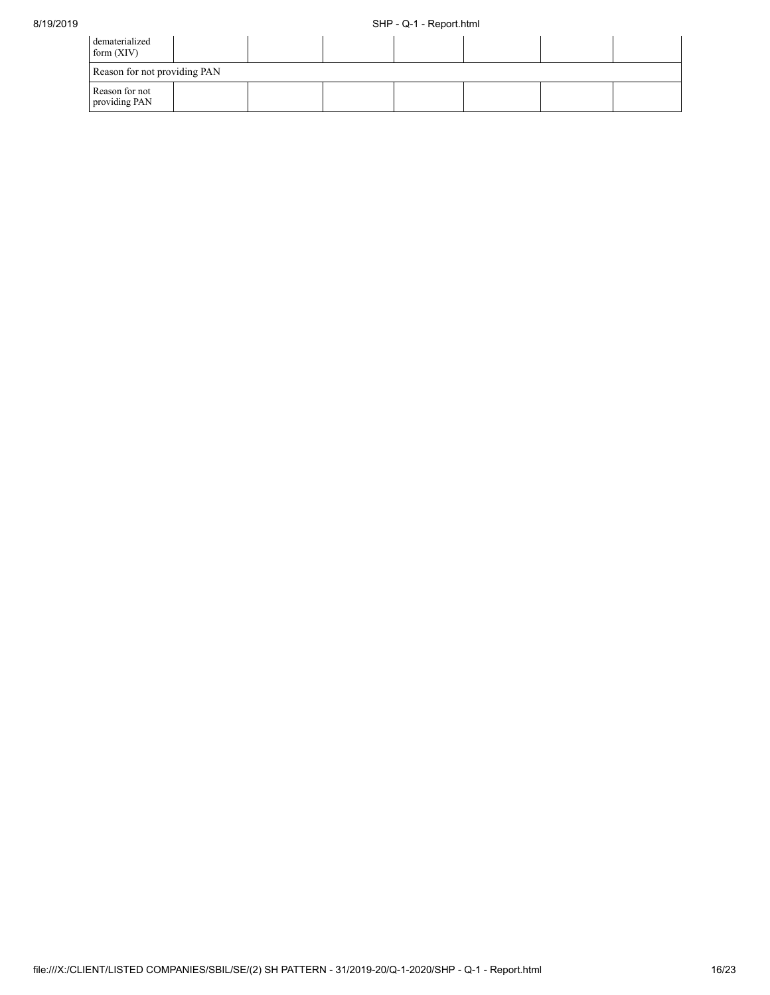| dematerialized<br>form $(XIV)$  |  |  |  |  |
|---------------------------------|--|--|--|--|
| Reason for not providing PAN    |  |  |  |  |
| Reason for not<br>providing PAN |  |  |  |  |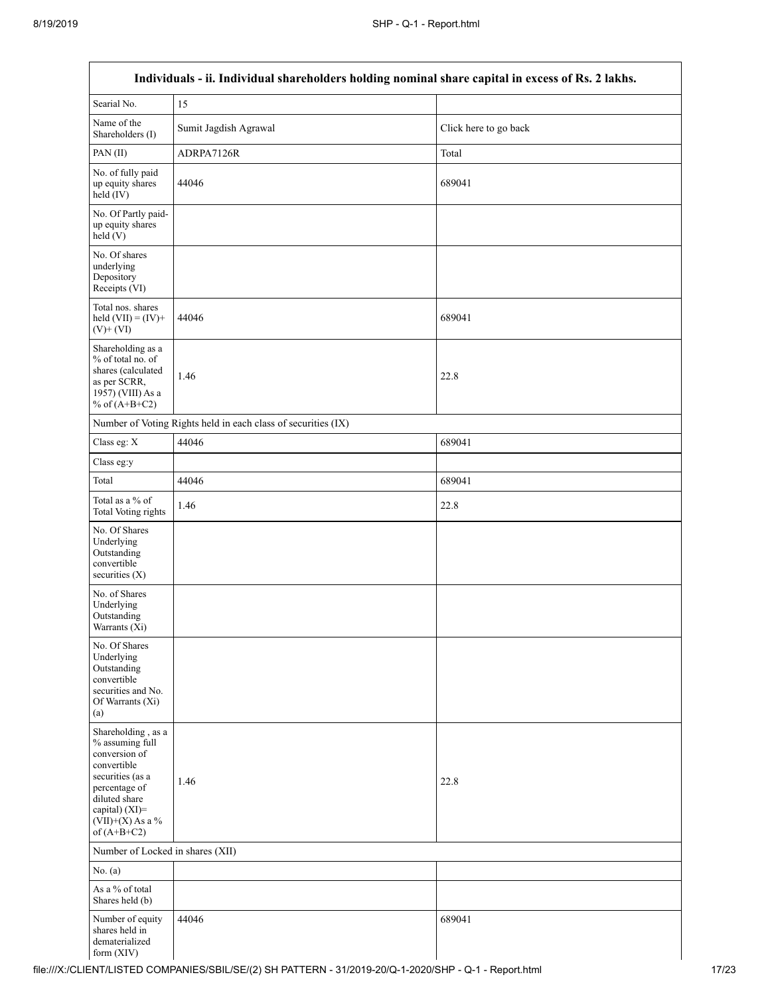| Individuals - ii. Individual shareholders holding nominal share capital in excess of Rs. 2 lakhs.                                                                                    |                                                               |                       |  |  |  |
|--------------------------------------------------------------------------------------------------------------------------------------------------------------------------------------|---------------------------------------------------------------|-----------------------|--|--|--|
| Searial No.                                                                                                                                                                          | 15                                                            |                       |  |  |  |
| Name of the<br>Shareholders (I)                                                                                                                                                      | Sumit Jagdish Agrawal                                         | Click here to go back |  |  |  |
| PAN(II)                                                                                                                                                                              | ADRPA7126R                                                    | Total                 |  |  |  |
| No. of fully paid<br>up equity shares<br>held (IV)                                                                                                                                   | 44046                                                         | 689041                |  |  |  |
| No. Of Partly paid-<br>up equity shares<br>held(V)                                                                                                                                   |                                                               |                       |  |  |  |
| No. Of shares<br>underlying<br>Depository<br>Receipts (VI)                                                                                                                           |                                                               |                       |  |  |  |
| Total nos. shares<br>held $(VII) = (IV) +$<br>$(V)$ + $(VI)$                                                                                                                         | 44046                                                         | 689041                |  |  |  |
| Shareholding as a<br>% of total no. of<br>shares (calculated<br>as per SCRR,<br>1957) (VIII) As a<br>% of $(A+B+C2)$                                                                 | 1.46                                                          | 22.8                  |  |  |  |
|                                                                                                                                                                                      | Number of Voting Rights held in each class of securities (IX) |                       |  |  |  |
| Class eg: X                                                                                                                                                                          | 44046                                                         | 689041                |  |  |  |
| Class eg:y                                                                                                                                                                           |                                                               |                       |  |  |  |
| Total                                                                                                                                                                                | 44046                                                         | 689041                |  |  |  |
| Total as a % of<br><b>Total Voting rights</b>                                                                                                                                        | 1.46                                                          | 22.8                  |  |  |  |
| No. Of Shares<br>Underlying<br>Outstanding<br>convertible<br>securities $(X)$                                                                                                        |                                                               |                       |  |  |  |
| No. of Shares<br>Underlying<br>Outstanding<br>Warrants (Xi)                                                                                                                          |                                                               |                       |  |  |  |
| No. Of Shares<br>Underlying<br>Outstanding<br>convertible<br>securities and No.<br>Of Warrants (Xi)<br>(a)                                                                           |                                                               |                       |  |  |  |
| Shareholding, as a<br>% assuming full<br>conversion of<br>convertible<br>securities (as a<br>percentage of<br>diluted share<br>capital) (XI)=<br>$(VII)+(X)$ As a %<br>of $(A+B+C2)$ | 1.46                                                          | 22.8                  |  |  |  |
| Number of Locked in shares (XII)                                                                                                                                                     |                                                               |                       |  |  |  |
| No. (a)                                                                                                                                                                              |                                                               |                       |  |  |  |
| As a % of total<br>Shares held (b)                                                                                                                                                   |                                                               |                       |  |  |  |
| Number of equity<br>shares held in<br>dematerialized<br>form $(XIV)$                                                                                                                 | 44046                                                         | 689041                |  |  |  |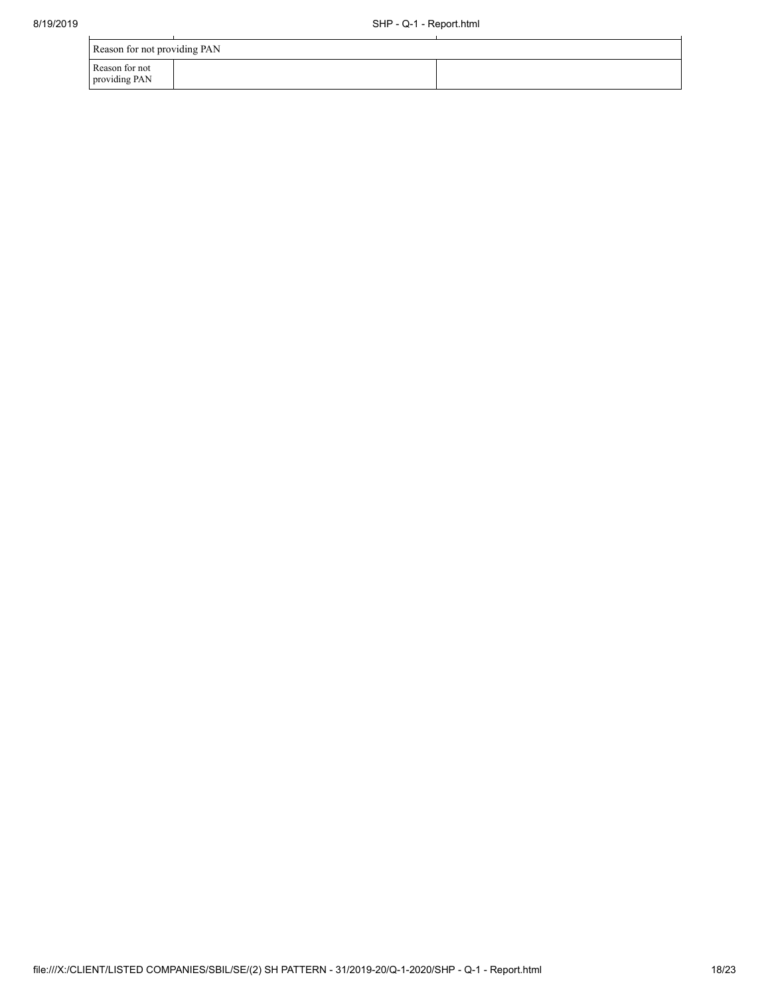| Reason for not providing PAN    |  |
|---------------------------------|--|
| Reason for not<br>providing PAN |  |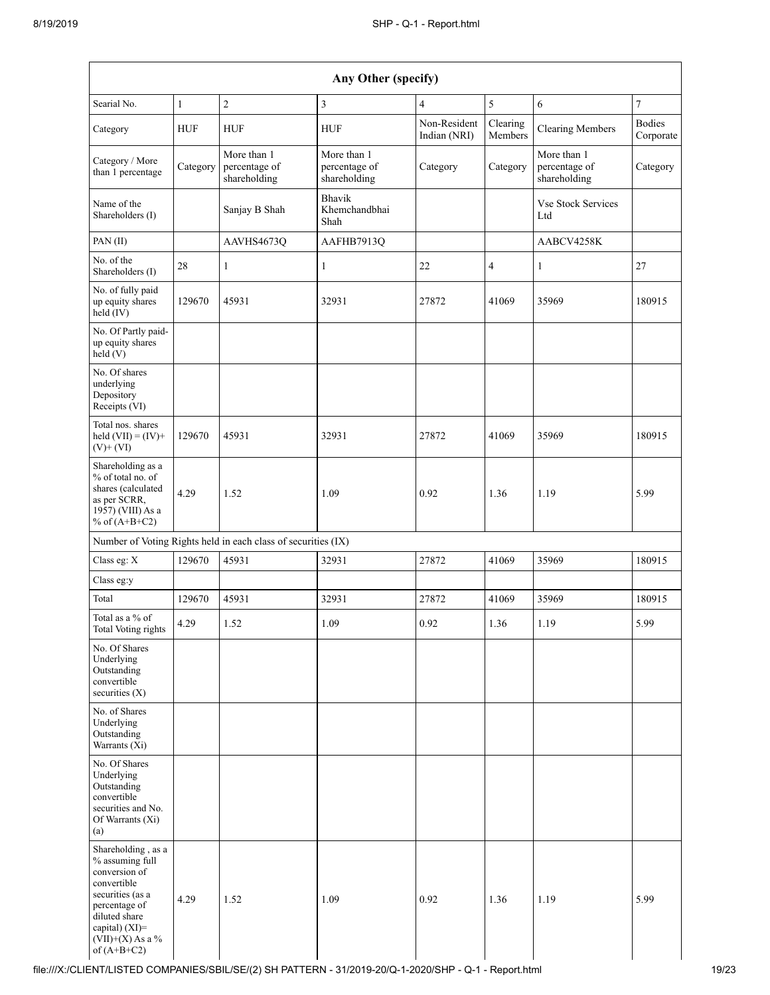| Any Other (specify)                                                                                                                                                                  |              |                                                               |                                              |                              |                     |                                              |                            |
|--------------------------------------------------------------------------------------------------------------------------------------------------------------------------------------|--------------|---------------------------------------------------------------|----------------------------------------------|------------------------------|---------------------|----------------------------------------------|----------------------------|
| Searial No.                                                                                                                                                                          | $\mathbf{1}$ | $\sqrt{2}$                                                    | $\overline{3}$                               | 4                            | 5                   | 6                                            | $\overline{7}$             |
| Category                                                                                                                                                                             | <b>HUF</b>   | <b>HUF</b>                                                    | <b>HUF</b>                                   | Non-Resident<br>Indian (NRI) | Clearing<br>Members | <b>Clearing Members</b>                      | <b>Bodies</b><br>Corporate |
| Category / More<br>than 1 percentage                                                                                                                                                 | Category     | More than 1<br>percentage of<br>shareholding                  | More than 1<br>percentage of<br>shareholding | Category                     | Category            | More than 1<br>percentage of<br>shareholding | Category                   |
| Name of the<br>Shareholders (I)                                                                                                                                                      |              | Sanjay B Shah                                                 | Bhavik<br>Khemchandbhai<br>Shah              |                              |                     | <b>Vse Stock Services</b><br>Ltd             |                            |
| PAN (II)                                                                                                                                                                             |              | AAVHS4673Q                                                    | AAFHB7913Q                                   |                              |                     | AABCV4258K                                   |                            |
| No. of the<br>Shareholders (I)                                                                                                                                                       | 28           | $\mathbf{1}$                                                  | 1                                            | 22                           | $\overline{4}$      | 1                                            | 27                         |
| No. of fully paid<br>up equity shares<br>held (IV)                                                                                                                                   | 129670       | 45931                                                         | 32931                                        | 27872                        | 41069               | 35969                                        | 180915                     |
| No. Of Partly paid-<br>up equity shares<br>held (V)                                                                                                                                  |              |                                                               |                                              |                              |                     |                                              |                            |
| No. Of shares<br>underlying<br>Depository<br>Receipts (VI)                                                                                                                           |              |                                                               |                                              |                              |                     |                                              |                            |
| Total nos. shares<br>held $(VII) = (IV) +$<br>$(V)$ + $(VI)$                                                                                                                         | 129670       | 45931                                                         | 32931                                        | 27872                        | 41069               | 35969                                        | 180915                     |
| Shareholding as a<br>% of total no. of<br>shares (calculated<br>as per SCRR,<br>1957) (VIII) As a<br>% of $(A+B+C2)$                                                                 | 4.29         | 1.52                                                          | 1.09                                         | 0.92                         | 1.36                | 1.19                                         | 5.99                       |
|                                                                                                                                                                                      |              | Number of Voting Rights held in each class of securities (IX) |                                              |                              |                     |                                              |                            |
| Class eg: X                                                                                                                                                                          | 129670       | 45931                                                         | 32931                                        | 27872                        | 41069               | 35969                                        | 180915                     |
| Class eg:y                                                                                                                                                                           |              |                                                               |                                              |                              |                     |                                              |                            |
| Total                                                                                                                                                                                | 129670       | 45931                                                         | 32931                                        | 27872                        | 41069               | 35969                                        | 180915                     |
| Total as a % of<br>Total Voting rights                                                                                                                                               | 4.29         | 1.52                                                          | 1.09                                         | 0.92                         | 1.36                | 1.19                                         | 5.99                       |
| No. Of Shares<br>Underlying<br>Outstanding<br>convertible<br>securities $(X)$                                                                                                        |              |                                                               |                                              |                              |                     |                                              |                            |
| No. of Shares<br>Underlying<br>Outstanding<br>Warrants (Xi)                                                                                                                          |              |                                                               |                                              |                              |                     |                                              |                            |
| No. Of Shares<br>Underlying<br>Outstanding<br>convertible<br>securities and No.<br>Of Warrants (Xi)<br>(a)                                                                           |              |                                                               |                                              |                              |                     |                                              |                            |
| Shareholding, as a<br>% assuming full<br>conversion of<br>convertible<br>securities (as a<br>percentage of<br>diluted share<br>capital) (XI)=<br>$(VII)+(X)$ As a %<br>of $(A+B+C2)$ | 4.29         | 1.52                                                          | 1.09                                         | 0.92                         | 1.36                | 1.19                                         | 5.99                       |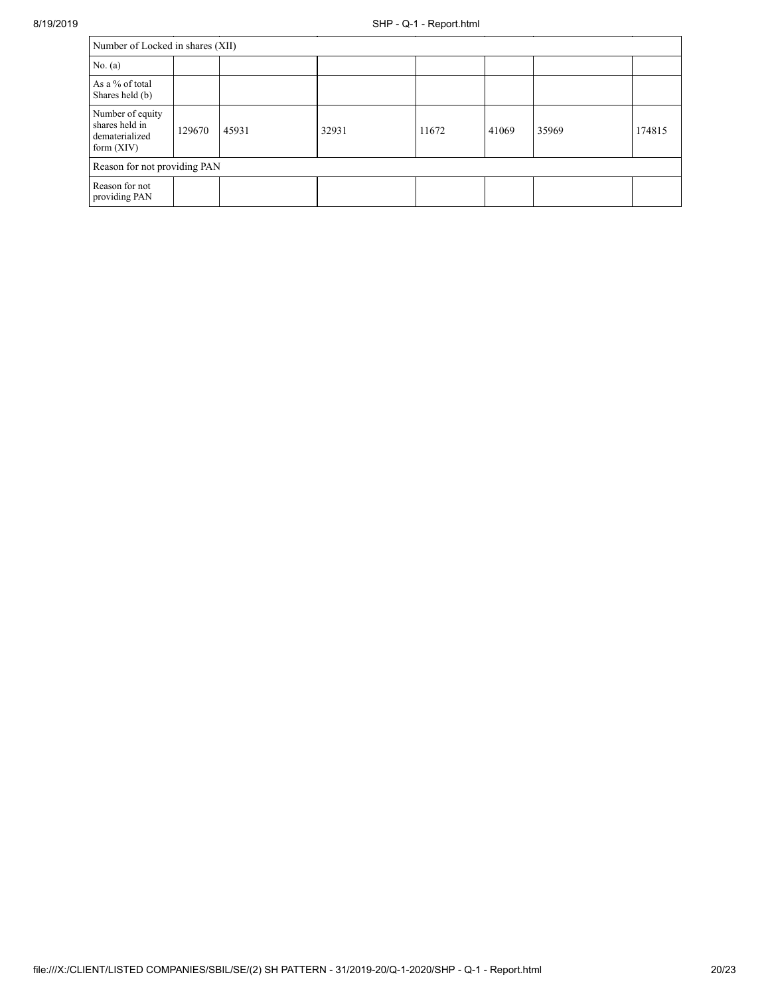| Number of Locked in shares (XII)                                     |        |       |       |       |       |       |        |
|----------------------------------------------------------------------|--------|-------|-------|-------|-------|-------|--------|
| No. (a)                                                              |        |       |       |       |       |       |        |
| As a % of total<br>Shares held (b)                                   |        |       |       |       |       |       |        |
| Number of equity<br>shares held in<br>dematerialized<br>form $(XIV)$ | 129670 | 45931 | 32931 | 11672 | 41069 | 35969 | 174815 |
| Reason for not providing PAN                                         |        |       |       |       |       |       |        |
| Reason for not<br>providing PAN                                      |        |       |       |       |       |       |        |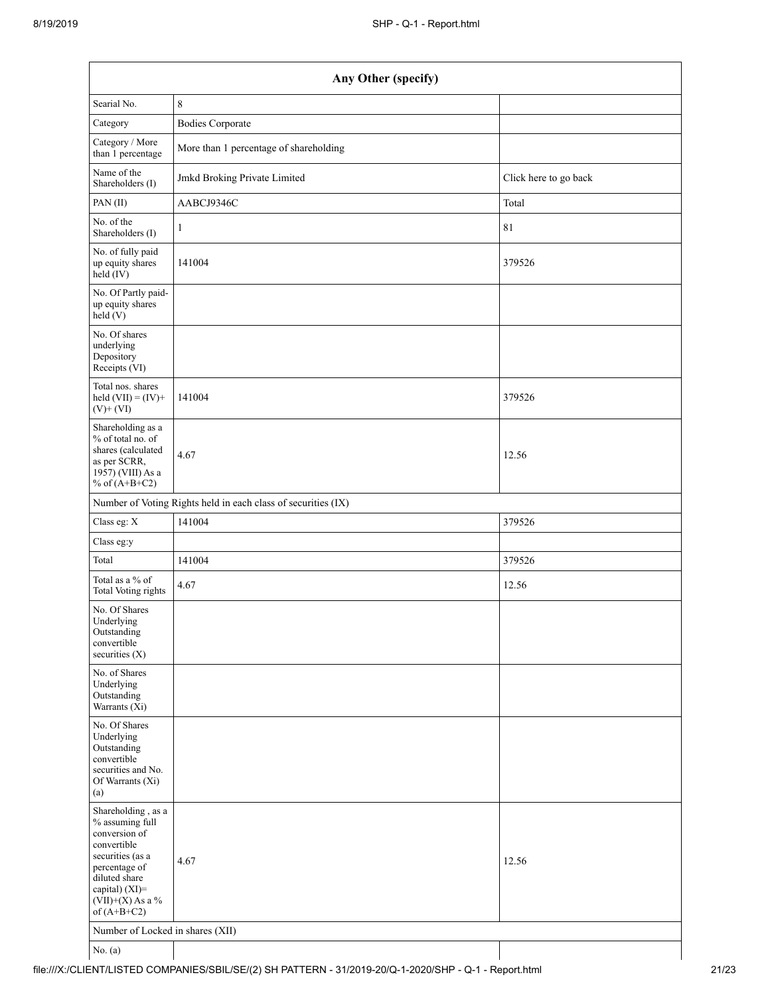| Any Other (specify)                                                                                                                                                                  |                                                               |                       |  |  |  |
|--------------------------------------------------------------------------------------------------------------------------------------------------------------------------------------|---------------------------------------------------------------|-----------------------|--|--|--|
| Searial No.                                                                                                                                                                          | $\,$ 8 $\,$                                                   |                       |  |  |  |
| Category                                                                                                                                                                             | <b>Bodies Corporate</b>                                       |                       |  |  |  |
| Category / More<br>than 1 percentage                                                                                                                                                 | More than 1 percentage of shareholding                        |                       |  |  |  |
| Name of the<br>Shareholders (I)                                                                                                                                                      | Jmkd Broking Private Limited                                  | Click here to go back |  |  |  |
| PAN(II)                                                                                                                                                                              | AABCJ9346C                                                    | Total                 |  |  |  |
| No. of the<br>Shareholders (I)                                                                                                                                                       | $\mathbf{1}$                                                  | 81                    |  |  |  |
| No. of fully paid<br>up equity shares<br>held (IV)                                                                                                                                   | 141004                                                        | 379526                |  |  |  |
| No. Of Partly paid-<br>up equity shares<br>held (V)                                                                                                                                  |                                                               |                       |  |  |  |
| No. Of shares<br>underlying<br>Depository<br>Receipts (VI)                                                                                                                           |                                                               |                       |  |  |  |
| Total nos. shares<br>held $(VII) = (IV) +$<br>$(V)$ + $(VI)$                                                                                                                         | 141004                                                        | 379526                |  |  |  |
| Shareholding as a<br>% of total no. of<br>shares (calculated<br>as per SCRR,<br>$1957)$ (VIII) As a<br>% of $(A+B+C2)$                                                               | 4.67                                                          | 12.56                 |  |  |  |
|                                                                                                                                                                                      | Number of Voting Rights held in each class of securities (IX) |                       |  |  |  |
| Class eg: X                                                                                                                                                                          | 141004                                                        | 379526                |  |  |  |
| Class eg:y                                                                                                                                                                           |                                                               |                       |  |  |  |
| Total                                                                                                                                                                                | 141004                                                        | 379526                |  |  |  |
| Total as a % of<br>Total Voting rights                                                                                                                                               | 4.67                                                          | 12.56                 |  |  |  |
| No. Of Shares<br>Underlying<br>Outstanding<br>convertible<br>securities (X)                                                                                                          |                                                               |                       |  |  |  |
| No. of Shares<br>Underlying<br>Outstanding<br>Warrants (Xi)                                                                                                                          |                                                               |                       |  |  |  |
| No. Of Shares<br>Underlying<br>Outstanding<br>convertible<br>securities and No.<br>Of Warrants (Xi)<br>(a)                                                                           |                                                               |                       |  |  |  |
| Shareholding, as a<br>% assuming full<br>conversion of<br>convertible<br>securities (as a<br>percentage of<br>diluted share<br>capital) (XI)=<br>$(VII)+(X)$ As a %<br>of $(A+B+C2)$ | 4.67                                                          | 12.56                 |  |  |  |
| Number of Locked in shares (XII)                                                                                                                                                     |                                                               |                       |  |  |  |
| No. $(a)$                                                                                                                                                                            |                                                               |                       |  |  |  |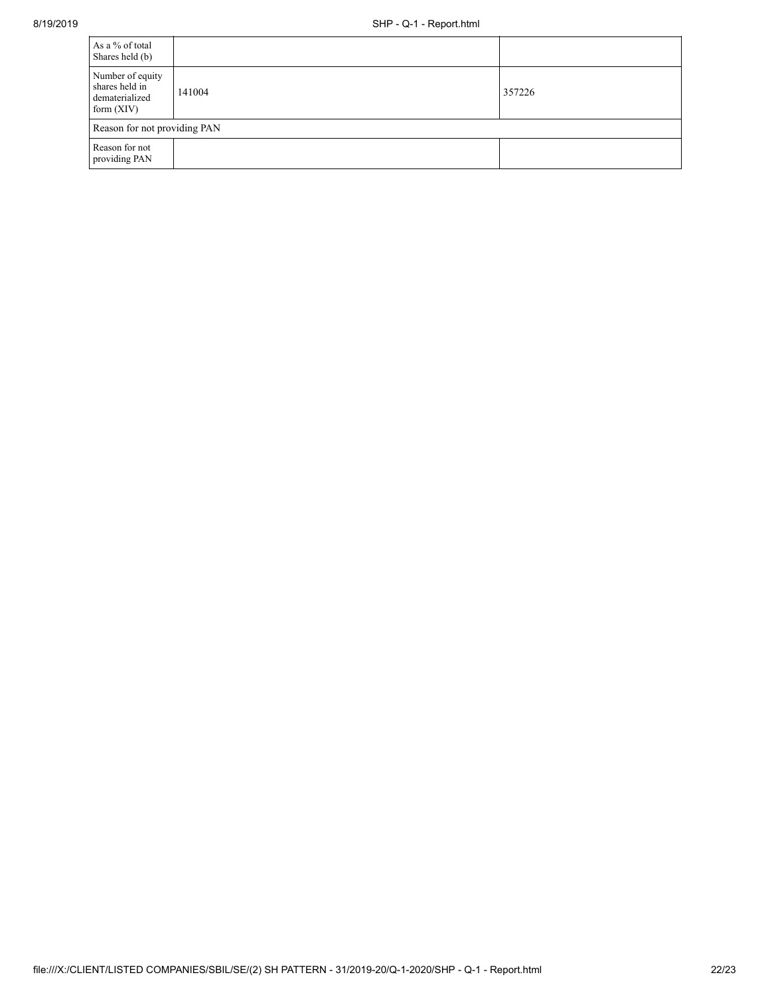| As a % of total<br>Shares held (b)                                   |        |        |
|----------------------------------------------------------------------|--------|--------|
| Number of equity<br>shares held in<br>dematerialized<br>form $(XIV)$ | 141004 | 357226 |
| Reason for not providing PAN                                         |        |        |
| Reason for not<br>providing PAN                                      |        |        |